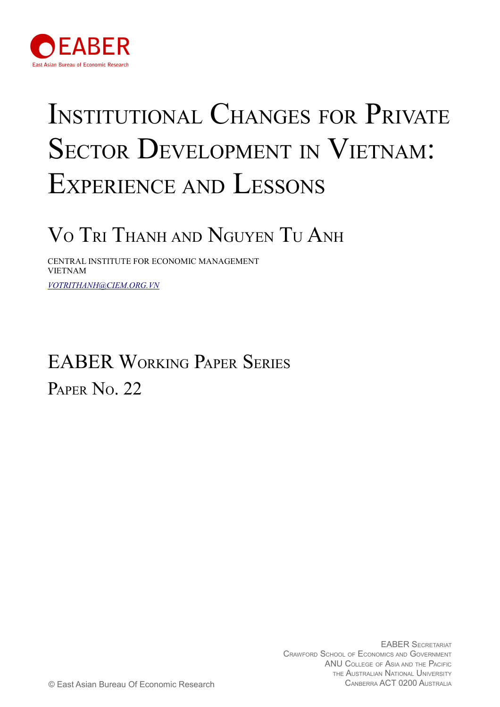

# INSTITUTIONAL CHANGES FOR PRIVATE SECTOR DEVELOPMENT IN VIETNAM: EXPERIENCE AND LESSONS

# VO TRI THANH AND NGUYEN TU ANH

CENTRAL INSTITUTE FOR ECONOMIC MANAGEMENT VIETNAM *[VOTRITHANH@CIEM.ORG.VN](mailto:votrithanh@ciem.org.vn)*

# EABER WORKING PAPER SERIES PAPER No. 22

EABER SECRETARIAT CRAWFORD SCHOOL OF ECONOMICS AND GOVERNMENT ANU COLLEGE OF ASIA AND THE PACIFIC THE AUSTRALIAN NATIONAL UNIVERSITY © East Asian Bureau Of Economic Research CANBERRA ACT 0200 AUSTRALIA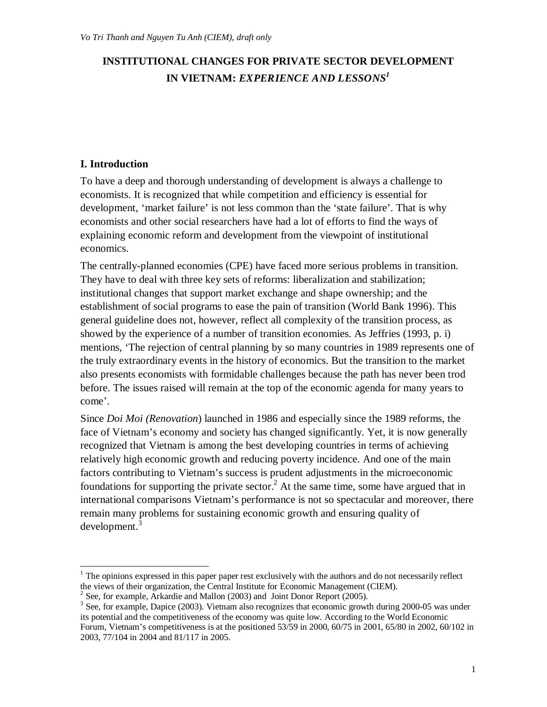# **INSTITUTIONAL CHANGES FOR PRIVATE SECTOR DEVELOPMENT IN VIETNAM:** *EXPERIENCE AND LESSONS<sup>1</sup>*

# **I. Introduction**

 $\overline{a}$ 

To have a deep and thorough understanding of development is always a challenge to economists. It is recognized that while competition and efficiency is essential for development, 'market failure' is not less common than the 'state failure'. That is why economists and other social researchers have had a lot of efforts to find the ways of explaining economic reform and development from the viewpoint of institutional economics.

The centrally-planned economies (CPE) have faced more serious problems in transition. They have to deal with three key sets of reforms: liberalization and stabilization; institutional changes that support market exchange and shape ownership; and the establishment of social programs to ease the pain of transition (World Bank 1996). This general guideline does not, however, reflect all complexity of the transition process, as showed by the experience of a number of transition economies. As Jeffries (1993, p. i) mentions, 'The rejection of central planning by so many countries in 1989 represents one of the truly extraordinary events in the history of economics. But the transition to the market also presents economists with formidable challenges because the path has never been trod before. The issues raised will remain at the top of the economic agenda for many years to come'.

Since *Doi Moi (Renovation*) launched in 1986 and especially since the 1989 reforms, the face of Vietnam's economy and society has changed significantly. Yet, it is now generally recognized that Vietnam is among the best developing countries in terms of achieving relatively high economic growth and reducing poverty incidence. And one of the main factors contributing to Vietnam's success is prudent adjustments in the microeconomic foundations for supporting the private sector.<sup>2</sup> At the same time, some have argued that in international comparisons Vietnam's performance is not so spectacular and moreover, there remain many problems for sustaining economic growth and ensuring quality of development.<sup>3</sup>

 $<sup>1</sup>$  The opinions expressed in this paper paper rest exclusively with the authors and do not necessarily reflect</sup> the views of their organization, the Central Institute for Economic Management (CIEM).

 $2^2$  See, for example, Arkardie and Mallon (2003) and Joint Donor Report (2005).

<sup>&</sup>lt;sup>3</sup> See, for example, Dapice (2003). Vietnam also recognizes that economic growth during 2000-05 was under its potential and the competitiveness of the economy was quite low. According to the World Economic Forum, Vietnam's competitiveness is at the positioned 53/59 in 2000, 60/75 in 2001, 65/80 in 2002, 60/102 in 2003, 77/104 in 2004 and 81/117 in 2005.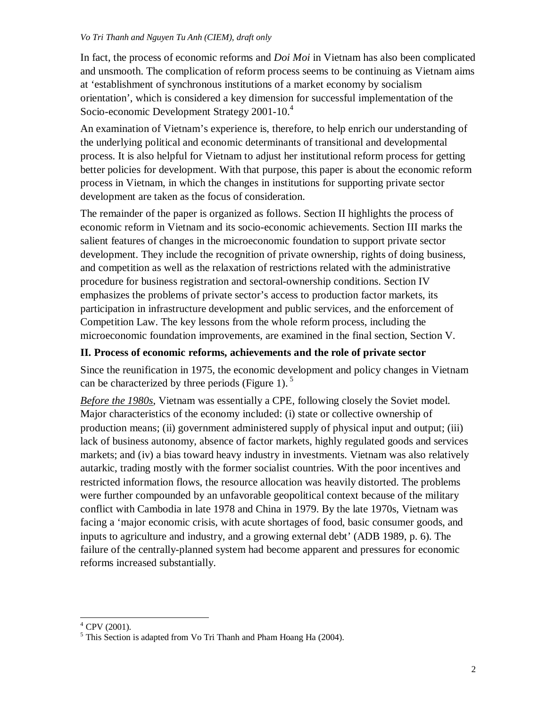In fact, the process of economic reforms and *Doi Moi* in Vietnam has also been complicated and unsmooth. The complication of reform process seems to be continuing as Vietnam aims at 'establishment of synchronous institutions of a market economy by socialism orientation', which is considered a key dimension for successful implementation of the Socio-economic Development Strategy 2001-10.<sup>4</sup>

An examination of Vietnam's experience is, therefore, to help enrich our understanding of the underlying political and economic determinants of transitional and developmental process. It is also helpful for Vietnam to adjust her institutional reform process for getting better policies for development. With that purpose, this paper is about the economic reform process in Vietnam, in which the changes in institutions for supporting private sector development are taken as the focus of consideration.

The remainder of the paper is organized as follows. Section II highlights the process of economic reform in Vietnam and its socio-economic achievements. Section III marks the salient features of changes in the microeconomic foundation to support private sector development. They include the recognition of private ownership, rights of doing business, and competition as well as the relaxation of restrictions related with the administrative procedure for business registration and sectoral-ownership conditions. Section IV emphasizes the problems of private sector's access to production factor markets, its participation in infrastructure development and public services, and the enforcement of Competition Law. The key lessons from the whole reform process, including the microeconomic foundation improvements, are examined in the final section, Section V.

# **II. Process of economic reforms, achievements and the role of private sector**

Since the reunification in 1975, the economic development and policy changes in Vietnam can be characterized by three periods (Figure 1).<sup>5</sup>

*Before the 1980s*, Vietnam was essentially a CPE, following closely the Soviet model. Major characteristics of the economy included: (i) state or collective ownership of production means; (ii) government administered supply of physical input and output; (iii) lack of business autonomy, absence of factor markets, highly regulated goods and services markets; and (iv) a bias toward heavy industry in investments. Vietnam was also relatively autarkic, trading mostly with the former socialist countries. With the poor incentives and restricted information flows, the resource allocation was heavily distorted. The problems were further compounded by an unfavorable geopolitical context because of the military conflict with Cambodia in late 1978 and China in 1979. By the late 1970s, Vietnam was facing a 'major economic crisis, with acute shortages of food, basic consumer goods, and inputs to agriculture and industry, and a growing external debt' (ADB 1989, p. 6). The failure of the centrally-planned system had become apparent and pressures for economic reforms increased substantially.

 $\overline{a}$  $4$  CPV (2001).

<sup>&</sup>lt;sup>5</sup> This Section is adapted from Vo Tri Thanh and Pham Hoang Ha (2004).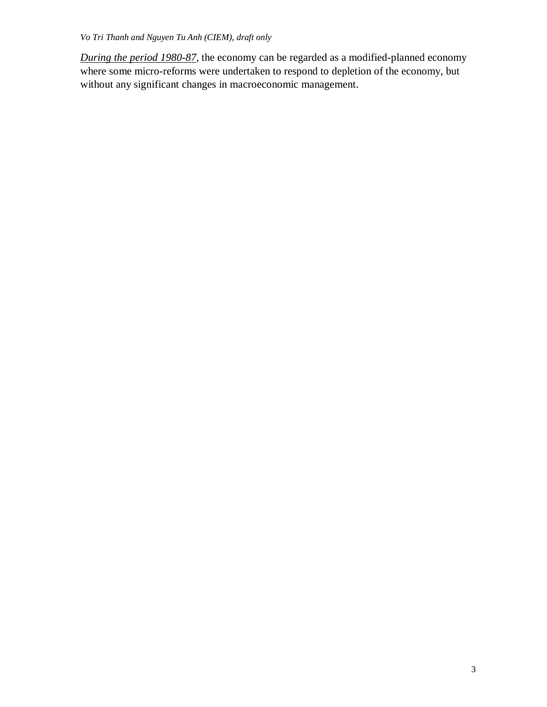*During the period 1980-87*, the economy can be regarded as a modified-planned economy where some micro-reforms were undertaken to respond to depletion of the economy, but without any significant changes in macroeconomic management.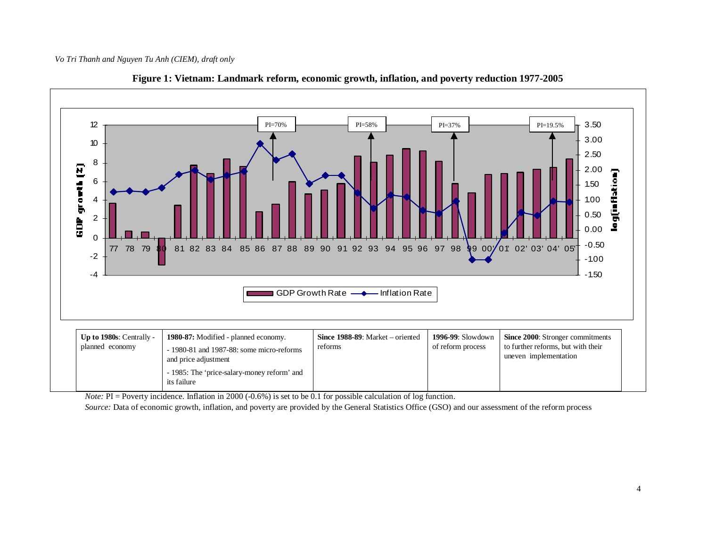



*Note:* PI = Poverty incidence. Inflation in 2000 (-0.6%) is set to be 0.1 for possible calculation of log function.

*Source:* Data of economic growth, inflation, and poverty are provided by the General Statistics Office (GSO) and our assessment of the reform process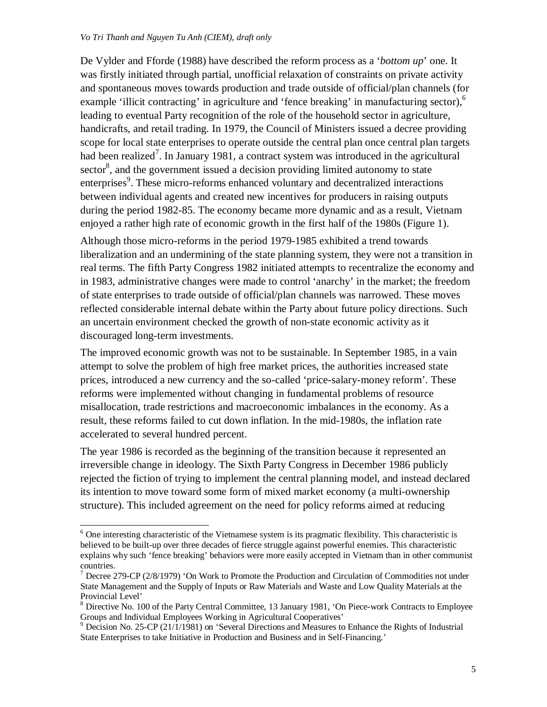$\overline{a}$ 

De Vylder and Fforde (1988) have described the reform process as a '*bottom up*' one. It was firstly initiated through partial, unofficial relaxation of constraints on private activity and spontaneous moves towards production and trade outside of official/plan channels (for example 'illicit contracting' in agriculture and 'fence breaking' in manufacturing sector), $\delta$ leading to eventual Party recognition of the role of the household sector in agriculture, handicrafts, and retail trading. In 1979, the Council of Ministers issued a decree providing scope for local state enterprises to operate outside the central plan once central plan targets had been realized<sup>7</sup>. In January 1981, a contract system was introduced in the agricultural sector $\delta$ , and the government issued a decision providing limited autonomy to state enterprises<sup>9</sup>. These micro-reforms enhanced voluntary and decentralized interactions between individual agents and created new incentives for producers in raising outputs during the period 1982-85. The economy became more dynamic and as a result, Vietnam enjoyed a rather high rate of economic growth in the first half of the 1980s (Figure 1).

Although those micro-reforms in the period 1979-1985 exhibited a trend towards liberalization and an undermining of the state planning system, they were not a transition in real terms. The fifth Party Congress 1982 initiated attempts to recentralize the economy and in 1983, administrative changes were made to control 'anarchy' in the market; the freedom of state enterprises to trade outside of official/plan channels was narrowed. These moves reflected considerable internal debate within the Party about future policy directions. Such an uncertain environment checked the growth of non-state economic activity as it discouraged long-term investments.

The improved economic growth was not to be sustainable. In September 1985, in a vain attempt to solve the problem of high free market prices, the authorities increased state prices, introduced a new currency and the so-called 'price-salary-money reform'. These reforms were implemented without changing in fundamental problems of resource misallocation, trade restrictions and macroeconomic imbalances in the economy. As a result, these reforms failed to cut down inflation. In the mid-1980s, the inflation rate accelerated to several hundred percent.

The year 1986 is recorded as the beginning of the transition because it represented an irreversible change in ideology. The Sixth Party Congress in December 1986 publicly rejected the fiction of trying to implement the central planning model, and instead declared its intention to move toward some form of mixed market economy (a multi-ownership structure). This included agreement on the need for policy reforms aimed at reducing

<sup>&</sup>lt;sup>6</sup> One interesting characteristic of the Vietnamese system is its pragmatic flexibility. This characteristic is believed to be built-up over three decades of fierce struggle against powerful enemies. This characteristic explains why such 'fence breaking' behaviors were more easily accepted in Vietnam than in other communist countries.

<sup>&</sup>lt;sup>7</sup> Decree 279-CP (2/8/1979) 'On Work to Promote the Production and Circulation of Commodities not under State Management and the Supply of Inputs or Raw Materials and Waste and Low Quality Materials at the Provincial Level'

<sup>8</sup> Directive No. 100 of the Party Central Committee, 13 January 1981, 'On Piece-work Contracts to Employee Groups and Individual Employees Working in Agricultural Cooperatives'

 $9$  Decision No. 25-CP (21/1/1981) on 'Several Directions and Measures to Enhance the Rights of Industrial State Enterprises to take Initiative in Production and Business and in Self-Financing.'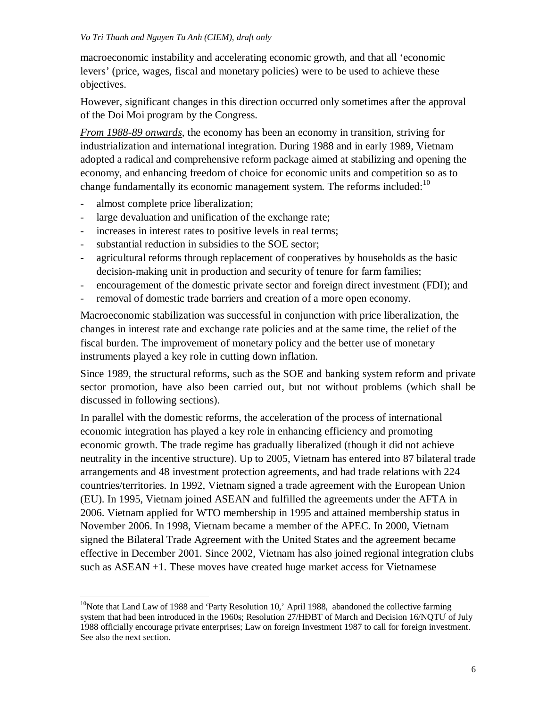macroeconomic instability and accelerating economic growth, and that all 'economic levers' (price, wages, fiscal and monetary policies) were to be used to achieve these objectives.

However, significant changes in this direction occurred only sometimes after the approval of the Doi Moi program by the Congress.

*From 1988-89 onwards*, the economy has been an economy in transition, striving for industrialization and international integration. During 1988 and in early 1989, Vietnam adopted a radical and comprehensive reform package aimed at stabilizing and opening the economy, and enhancing freedom of choice for economic units and competition so as to change fundamentally its economic management system. The reforms included:<sup>10</sup>

- almost complete price liberalization;

 $\overline{a}$ 

- large devaluation and unification of the exchange rate;
- increases in interest rates to positive levels in real terms;
- substantial reduction in subsidies to the SOE sector;
- agricultural reforms through replacement of cooperatives by households as the basic decision-making unit in production and security of tenure for farm families;
- encouragement of the domestic private sector and foreign direct investment (FDI); and
- removal of domestic trade barriers and creation of a more open economy.

Macroeconomic stabilization was successful in conjunction with price liberalization, the changes in interest rate and exchange rate policies and at the same time, the relief of the fiscal burden. The improvement of monetary policy and the better use of monetary instruments played a key role in cutting down inflation.

Since 1989, the structural reforms, such as the SOE and banking system reform and private sector promotion, have also been carried out, but not without problems (which shall be discussed in following sections).

In parallel with the domestic reforms, the acceleration of the process of international economic integration has played a key role in enhancing efficiency and promoting economic growth. The trade regime has gradually liberalized (though it did not achieve neutrality in the incentive structure). Up to 2005, Vietnam has entered into 87 bilateral trade arrangements and 48 investment protection agreements, and had trade relations with 224 countries/territories. In 1992, Vietnam signed a trade agreement with the European Union (EU). In 1995, Vietnam joined ASEAN and fulfilled the agreements under the AFTA in 2006. Vietnam applied for WTO membership in 1995 and attained membership status in November 2006. In 1998, Vietnam became a member of the APEC. In 2000, Vietnam signed the Bilateral Trade Agreement with the United States and the agreement became effective in December 2001. Since 2002, Vietnam has also joined regional integration clubs such as ASEAN +1. These moves have created huge market access for Vietnamese

 $10$ Note that Land Law of 1988 and 'Party Resolution 10,' April 1988, abandoned the collective farming system that had been introduced in the 1960s; Resolution 27/HĐBT of March and Decision 16/NQTU of July 1988 officially encourage private enterprises; Law on foreign Investment 1987 to call for foreign investment. See also the next section.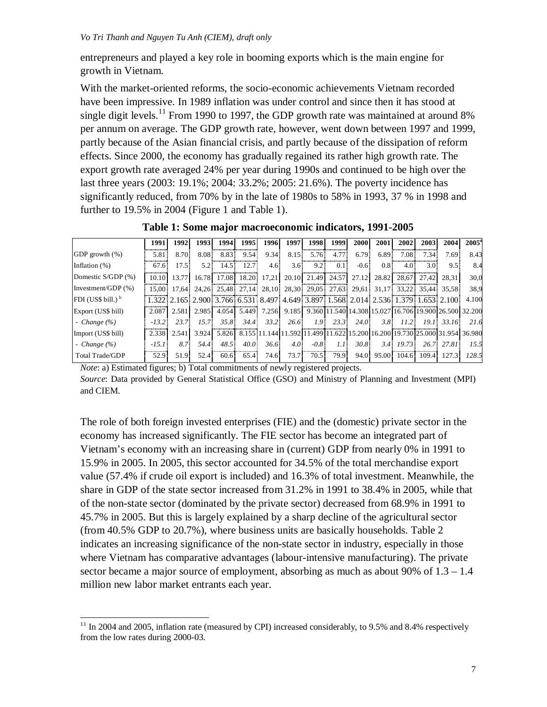entrepreneurs and played a key role in booming exports which is the main engine for growth in Vietnam.

With the market-oriented reforms, the socio-economic achievements Vietnam recorded have been impressive. In 1989 inflation was under control and since then it has stood at single digit levels.<sup>11</sup> From 1990 to 1997, the GDP growth rate was maintained at around 8% per annum on average. The GDP growth rate, however, went down between 1997 and 1999, partly because of the Asian financial crisis, and partly because of the dissipation of reform effects. Since 2000, the economy has gradually regained its rather high growth rate. The export growth rate averaged 24% per year during 1990s and continued to be high over the last three years (2003: 19.1%; 2004: 33.2%; 2005: 21.6%). The poverty incidence has significantly reduced, from 70% by in the late of 1980s to 58% in 1993, 37 % in 1998 and further to 19.5% in 2004 (Figure 1 and Table 1).

|                      | 1991    | 1992  | 1993  | 1994                    | 1995  | 1996             | 1997             | 1998             | 1999                    | 2000   | 2001             | 2002             | 2003  | 2004                                                                                | $2005^{\circ}$ |
|----------------------|---------|-------|-------|-------------------------|-------|------------------|------------------|------------------|-------------------------|--------|------------------|------------------|-------|-------------------------------------------------------------------------------------|----------------|
| GDP growth $(\%)$    | 5.81    | 8.70  | 8.08  | 8.83                    | 9.54  | 9.34             | 8.15             | 5.76             | 4.77                    | 6.79   | 6.89             | 7.08             | 7.34  | 7.69                                                                                | 8.43           |
| Inflation $(\%)$     | 67.6    | 17.5  | 5.2:  | 14.5                    | 12.7  | 4.6 <sup>1</sup> | $3.6^{\circ}$    | 9.21             | 0.1                     | $-0.6$ | 0.8 <sup>1</sup> | 4.0 <sup>1</sup> | 3.01  | 9.5                                                                                 | 8.4            |
| Domestic S/GDP (%)   | 10.10   | 13.77 | 16.78 | 17.08                   | 18.20 | 17.21            |                  |                  | 20.10 21.49 24.57       | 27.12  | 28.82            |                  |       | 28.67 27.42 28.31                                                                   | 30,0           |
| Investment/GDP (%)   | 15.00   |       |       | 17.64 24.26 25.48 27.14 |       |                  |                  |                  | 28.10 28.30 29.05 27.63 | 29.61  | 31.17            |                  |       | 33.22 35.44 35.58                                                                   | 38.9           |
| FDI (US\$ bill.) $b$ |         |       |       |                         |       |                  |                  |                  |                         |        |                  |                  |       | 1.322 2.165 2.900 3.766 6.531 8.497 4.649 3.897 1.568 2.014 2.536 1.379 1.653 2.100 | 4.100          |
| Export (US\$ bill)   | 2.087   |       |       | 2.581 2.985 4.054       | 5.449 | 7.256            |                  |                  |                         |        |                  |                  |       | 9.185 9.360 11.540 14.308 15.027 16.706 19.900 26.500 32.200                        |                |
| - Change $(\% )$     | $-13.2$ | 23.7  | 15.7  | 35.8                    | 34.4  | 33.2             | 26.6             | 1.9 <sup>°</sup> | 23.3                    | 24.0   | 3.81             | 11.2             | 19.1  | 33.16                                                                               | 21.6           |
| Import (US\$ bill)   | 2.338   | 2.541 | 3.924 | 5.826                   |       |                  |                  |                  |                         |        |                  |                  |       | 8.155 11.144 11.592 11.499 11.622 15.200 16.200 19.730 25.000 31.954 36.980         |                |
| - Change $(\%)$      | $-15.1$ | 8.7   | 54.4  | 48.5                    | 40.0  | 36.6             | 4.0 <sup>1</sup> | $-0.8$           | 1.1                     | 30.8   | 3.4              | 19.73            |       | 26.7 27.81                                                                          | 15.5           |
| Total Trade/GDP      | 52.9    | 51.9  | 52.4  | 60.6                    | 65.4  | 74.6             | 73.7             | 70.5             | 79.9                    | 94.0   | 95.00            | 104.6            | 109.4 | 127.3                                                                               | 128.5          |

**Table 1: Some major macroeconomic indicators, 1991-2005**

*Note*: a) Estimated figures; b) Total commitments of newly registered projects.

 $\overline{a}$ 

*Source*: Data provided by General Statistical Office (GSO) and Ministry of Planning and Investment (MPI) and CIEM.

The role of both foreign invested enterprises (FIE) and the (domestic) private sector in the economy has increased significantly. The FIE sector has become an integrated part of Vietnam's economy with an increasing share in (current) GDP from nearly 0% in 1991 to 15.9% in 2005. In 2005, this sector accounted for 34.5% of the total merchandise export value (57.4% if crude oil export is included) and 16.3% of total investment. Meanwhile, the share in GDP of the state sector increased from 31.2% in 1991 to 38.4% in 2005, while that of the non-state sector (dominated by the private sector) decreased from 68.9% in 1991 to 45.7% in 2005. But this is largely explained by a sharp decline of the agricultural sector (from 40.5% GDP to 20.7%), where business units are basically households. Table 2 indicates an increasing significance of the non-state sector in industry, especially in those where Vietnam has comparative advantages (labour-intensive manufacturing). The private sector became a major source of employment, absorbing as much as about 90% of  $1.3 - 1.4$ million new labor market entrants each year.

 $11$  In 2004 and 2005, inflation rate (measured by CPI) increased considerably, to 9.5% and 8.4% respectively from the low rates during 2000-03.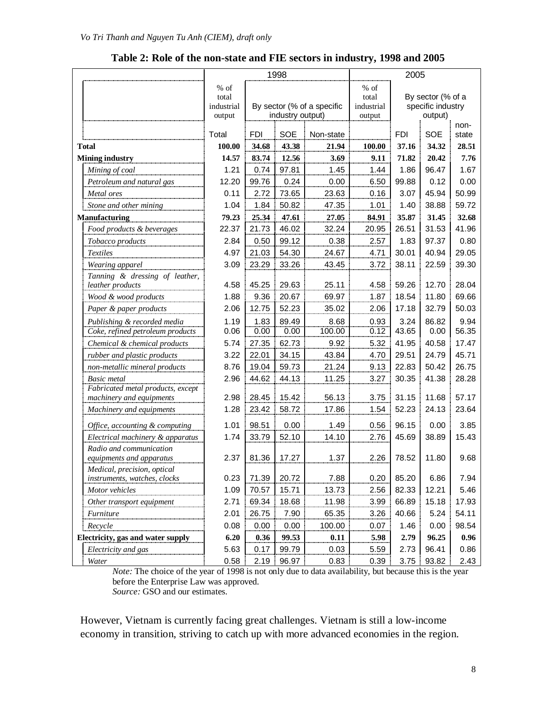|                                   |                                          |       | 1998             |                            | 2005                                  |                                                   |            |               |
|-----------------------------------|------------------------------------------|-------|------------------|----------------------------|---------------------------------------|---------------------------------------------------|------------|---------------|
|                                   | $\%$ of<br>total<br>industrial<br>output |       | industry output) | By sector (% of a specific | % of<br>total<br>industrial<br>output | By sector (% of a<br>specific industry<br>output) |            |               |
|                                   | Total                                    | FDI   | <b>SOE</b>       | Non-state                  |                                       | <b>FDI</b>                                        | <b>SOE</b> | non-<br>state |
| Total                             | 100.00                                   | 34.68 | 43.38            | 21.94                      | 100.00                                | 37.16                                             | 34.32      | 28.51         |
| <b>Mining industry</b>            | 14.57                                    | 83.74 | 12.56            | 3.69                       | 9.11                                  | 71.82                                             | 20.42      | 7.76          |
| Mining of coal                    | 1.21                                     | 0.74  | 97.81            | 1.45                       | 1.44                                  | 1.86                                              | 96.47      | 1.67          |
| Petroleum and natural gas         | 12.20                                    | 99.76 | 0.24             | 0.00                       | 6.50                                  | 99.88                                             | 0.12       | 0.00          |
| Metal ores                        | 0.11                                     | 2.72  | 73.65            | 23.63                      | 0.16                                  | 3.07                                              | 45.94      | 50.99         |
| Stone and other mining            | 1.04                                     | 1.84  | 50.82            | 47.35                      | 1.01                                  | 1.40                                              | 38.88      | 59.72         |
| <b>Manufacturing</b>              | 79.23                                    | 25.34 | 47.61            | 27.05                      | 84.91                                 | 35.87                                             | 31.45      | 32.68         |
| Food products & beverages         | 22.37                                    | 21.73 | 46.02            | 32.24                      | 20.95                                 | 26.51                                             | 31.53      | 41.96         |
| Tobacco products                  | 2.84                                     | 0.50  | 99.12            | 0.38                       | 2.57                                  | 1.83                                              | 97.37      | 0.80          |
| <b>Textiles</b>                   | 4.97                                     | 21.03 | 54.30            | 24.67                      | 4.71                                  | 30.01                                             | 40.94      | 29.05         |
| Wearing apparel                   | 3.09                                     | 23.29 | 33.26            | 43.45                      | 3.72                                  | 38.11                                             | 22.59      | 39.30         |
| Tanning & dressing of leather,    |                                          |       |                  |                            |                                       |                                                   |            |               |
| leather products                  | 4.58                                     | 45.25 | 29.63            | 25.11                      | 4.58                                  | 59.26                                             | 12.70      | 28.04         |
| Wood & wood products              | 1.88                                     | 9.36  | 20.67            | 69.97                      | 1.87                                  | 18.54                                             | 11.80      | 69.66         |
| Paper & paper products            | 2.06                                     | 12.75 | 52.23            | 35.02                      | 2.06                                  | 17.18                                             | 32.79      | 50.03         |
| Publishing & recorded media       | 1.19                                     | 1.83  | 89.49            | 8.68                       | 0.93                                  | 3.24                                              | 86.82      | 9.94          |
| Coke, refined petroleum products  | 0.06                                     | 0.00  | 0.00             | 100.00                     | 0.12                                  | 43.65                                             | 0.00       | 56.35         |
| Chemical & chemical products      | 5.74                                     | 27.35 | 62.73            | 9.92                       | 5.32                                  | 41.95                                             | 40.58      | 17.47         |
| rubber and plastic products       | 3.22                                     | 22.01 | 34.15            | 43.84                      | 4.70                                  | 29.51                                             | 24.79      | 45.71         |
| non-metallic mineral products     | 8.76                                     | 19.04 | 59.73            | 21.24                      | 9.13                                  | 22.83                                             | 50.42      | 26.75         |
| <b>Basic</b> metal                | 2.96                                     | 44.62 | 44.13            | 11.25                      | 3.27                                  | 30.35                                             | 41.38      | 28.28         |
| Fabricated metal products, except |                                          |       |                  |                            |                                       |                                                   |            |               |
| machinery and equipments          | 2.98                                     | 28.45 | 15.42            | 56.13                      | 3.75                                  | 31.15                                             | 11.68      | 57.17         |
| Machinery and equipments          | 1.28                                     | 23.42 | 58.72            | 17.86                      | 1.54                                  | 52.23                                             | 24.13      | 23.64         |
| Office, accounting & computing    | 1.01                                     | 98.51 | 0.00             | 1.49                       | 0.56                                  | 96.15                                             | 0.00       | 3.85          |
| Electrical machinery & apparatus  | 1.74                                     | 33.79 | 52.10            | 14.10                      | 2.76                                  | 45.69                                             | 38.89      | 15.43         |
| Radio and communication           |                                          |       |                  |                            |                                       |                                                   |            |               |
| equipments and apparatus          | 2.37                                     | 81.36 | 17.27            | 1.37                       | 2.26                                  | 78.52                                             | 11.80      | 9.68          |
| Medical, precision, optical       |                                          |       |                  |                            |                                       |                                                   |            |               |
| instruments, watches, clocks      | 0.23                                     | 71.39 | 20.72            | 7.88                       | 0.20                                  | 85.20                                             | 6.86       | 7.94          |
| Motor vehicles                    | 1.09                                     | 70.57 | 15.71            | 13.73                      | 2.56                                  | 82.33                                             | 12.21      | 5.46          |
| Other transport equipment         | 2.71                                     | 69.34 | 18.68            | 11.98                      | 3.99                                  | 66.89                                             | 15.18      | 17.93         |
| Furniture                         | 2.01                                     | 26.75 | 7.90             | 65.35                      | 3.26                                  | 40.66                                             | 5.24       | 54.11         |
| Recycle                           | 0.08                                     | 0.00  | 0.00             | 100.00                     | 0.07                                  | 1.46                                              | 0.00       | 98.54         |
| Electricity, gas and water supply | 6.20                                     | 0.36  | 99.53            | 0.11                       | 5.98                                  | 2.79                                              | 96.25      | 0.96          |
| Electricity and gas               | 5.63                                     | 0.17  | 99.79            | 0.03                       | 5.59                                  | 2.73                                              | 96.41      | 0.86          |
| Water                             | 0.58                                     | 2.19  | 96.97            | 0.83                       | 0.39                                  | 3.75                                              | 93.82      | 2.43          |

**Table 2: Role of the non-state and FIE sectors in industry, 1998 and 2005** 

*Note:* The choice of the year of 1998 is not only due to data availability, but because this is the year before the Enterprise Law was approved. *Source:* GSO and our estimates.

However, Vietnam is currently facing great challenges. Vietnam is still a low-income economy in transition, striving to catch up with more advanced economies in the region.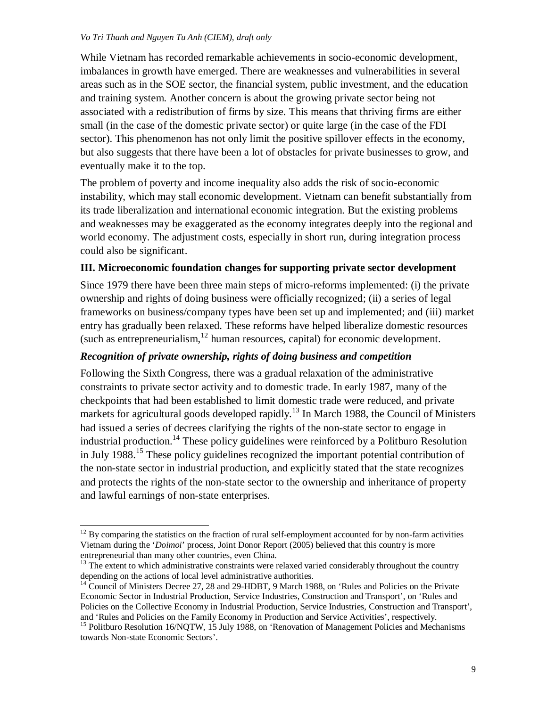$\overline{a}$ 

While Vietnam has recorded remarkable achievements in socio-economic development, imbalances in growth have emerged. There are weaknesses and vulnerabilities in several areas such as in the SOE sector, the financial system, public investment, and the education and training system. Another concern is about the growing private sector being not associated with a redistribution of firms by size. This means that thriving firms are either small (in the case of the domestic private sector) or quite large (in the case of the FDI sector). This phenomenon has not only limit the positive spillover effects in the economy, but also suggests that there have been a lot of obstacles for private businesses to grow, and eventually make it to the top.

The problem of poverty and income inequality also adds the risk of socio-economic instability, which may stall economic development. Vietnam can benefit substantially from its trade liberalization and international economic integration. But the existing problems and weaknesses may be exaggerated as the economy integrates deeply into the regional and world economy. The adjustment costs, especially in short run, during integration process could also be significant.

# **III. Microeconomic foundation changes for supporting private sector development**

Since 1979 there have been three main steps of micro-reforms implemented: (i) the private ownership and rights of doing business were officially recognized; (ii) a series of legal frameworks on business/company types have been set up and implemented; and (iii) market entry has gradually been relaxed. These reforms have helped liberalize domestic resources (such as entrepreneurialism,  $12$  human resources, capital) for economic development.

# *Recognition of private ownership, rights of doing business and competition*

Following the Sixth Congress, there was a gradual relaxation of the administrative constraints to private sector activity and to domestic trade. In early 1987, many of the checkpoints that had been established to limit domestic trade were reduced, and private markets for agricultural goods developed rapidly.<sup>13</sup> In March 1988, the Council of Ministers had issued a series of decrees clarifying the rights of the non-state sector to engage in industrial production.<sup>14</sup> These policy guidelines were reinforced by a Politburo Resolution in July 1988.<sup>15</sup> These policy guidelines recognized the important potential contribution of the non-state sector in industrial production, and explicitly stated that the state recognizes and protects the rights of the non-state sector to the ownership and inheritance of property and lawful earnings of non-state enterprises.

 $12$  By comparing the statistics on the fraction of rural self-employment accounted for by non-farm activities Vietnam during the '*Doimoi*' process, Joint Donor Report (2005) believed that this country is more entrepreneurial than many other countries, even China.

 $13$  The extent to which administrative constraints were relaxed varied considerably throughout the country depending on the actions of local level administrative authorities.

<sup>&</sup>lt;sup>14</sup> Council of Ministers Decree 27, 28 and 29-HDBT, 9 March 1988, on 'Rules and Policies on the Private Economic Sector in Industrial Production, Service Industries, Construction and Transport', on 'Rules and Policies on the Collective Economy in Industrial Production, Service Industries, Construction and Transport', and 'Rules and Policies on the Family Economy in Production and Service Activities', respectively.

<sup>&</sup>lt;sup>15</sup> Politburo Resolution 16/NQTW, 15 July 1988, on 'Renovation of Management Policies and Mechanisms towards Non-state Economic Sectors'.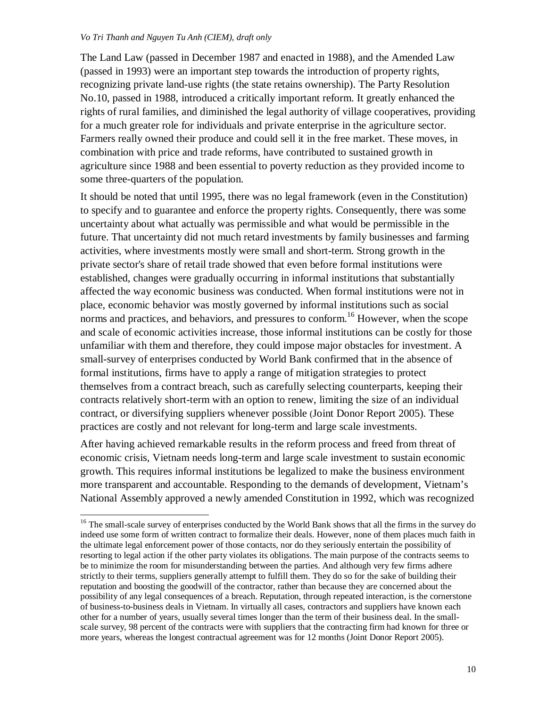-

The Land Law (passed in December 1987 and enacted in 1988), and the Amended Law (passed in 1993) were an important step towards the introduction of property rights, recognizing private land-use rights (the state retains ownership). The Party Resolution No.10, passed in 1988, introduced a critically important reform. It greatly enhanced the rights of rural families, and diminished the legal authority of village cooperatives, providing for a much greater role for individuals and private enterprise in the agriculture sector. Farmers really owned their produce and could sell it in the free market. These moves, in combination with price and trade reforms, have contributed to sustained growth in agriculture since 1988 and been essential to poverty reduction as they provided income to some three-quarters of the population.

It should be noted that until 1995, there was no legal framework (even in the Constitution) to specify and to guarantee and enforce the property rights. Consequently, there was some uncertainty about what actually was permissible and what would be permissible in the future. That uncertainty did not much retard investments by family businesses and farming activities, where investments mostly were small and short-term. Strong growth in the private sector's share of retail trade showed that even before formal institutions were established, changes were gradually occurring in informal institutions that substantially affected the way economic business was conducted. When formal institutions were not in place, economic behavior was mostly governed by informal institutions such as social norms and practices, and behaviors, and pressures to conform.<sup>16</sup> However, when the scope and scale of economic activities increase, those informal institutions can be costly for those unfamiliar with them and therefore, they could impose major obstacles for investment. A small-survey of enterprises conducted by World Bank confirmed that in the absence of formal institutions, firms have to apply a range of mitigation strategies to protect themselves from a contract breach, such as carefully selecting counterparts, keeping their contracts relatively short-term with an option to renew, limiting the size of an individual contract, or diversifying suppliers whenever possible (Joint Donor Report 2005). These practices are costly and not relevant for long-term and large scale investments.

After having achieved remarkable results in the reform process and freed from threat of economic crisis, Vietnam needs long-term and large scale investment to sustain economic growth. This requires informal institutions be legalized to make the business environment more transparent and accountable. Responding to the demands of development, Vietnam's National Assembly approved a newly amended Constitution in 1992, which was recognized

<sup>&</sup>lt;sup>16</sup> The small-scale survey of enterprises conducted by the World Bank shows that all the firms in the survey do indeed use some form of written contract to formalize their deals. However, none of them places much faith in the ultimate legal enforcement power of those contacts, nor do they seriously entertain the possibility of resorting to legal action if the other party violates its obligations. The main purpose of the contracts seems to be to minimize the room for misunderstanding between the parties. And although very few firms adhere strictly to their terms, suppliers generally attempt to fulfill them. They do so for the sake of building their reputation and boosting the goodwill of the contractor, rather than because they are concerned about the possibility of any legal consequences of a breach. Reputation, through repeated interaction, is the cornerstone of business-to-business deals in Vietnam. In virtually all cases, contractors and suppliers have known each other for a number of years, usually several times longer than the term of their business deal. In the smallscale survey, 98 percent of the contracts were with suppliers that the contracting firm had known for three or more years, whereas the longest contractual agreement was for 12 months (Joint Donor Report 2005).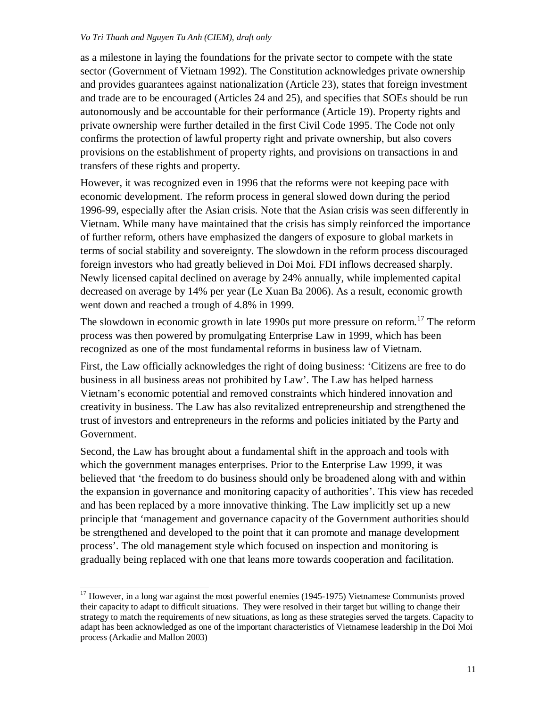as a milestone in laying the foundations for the private sector to compete with the state sector (Government of Vietnam 1992). The Constitution acknowledges private ownership and provides guarantees against nationalization (Article 23), states that foreign investment and trade are to be encouraged (Articles 24 and 25), and specifies that SOEs should be run autonomously and be accountable for their performance (Article 19). Property rights and private ownership were further detailed in the first Civil Code 1995. The Code not only confirms the protection of lawful property right and private ownership, but also covers provisions on the establishment of property rights, and provisions on transactions in and transfers of these rights and property.

However, it was recognized even in 1996 that the reforms were not keeping pace with economic development. The reform process in general slowed down during the period 1996-99, especially after the Asian crisis. Note that the Asian crisis was seen differently in Vietnam. While many have maintained that the crisis has simply reinforced the importance of further reform, others have emphasized the dangers of exposure to global markets in terms of social stability and sovereignty. The slowdown in the reform process discouraged foreign investors who had greatly believed in Doi Moi. FDI inflows decreased sharply. Newly licensed capital declined on average by 24% annually, while implemented capital decreased on average by 14% per year (Le Xuan Ba 2006). As a result, economic growth went down and reached a trough of 4.8% in 1999.

The slowdown in economic growth in late 1990s put more pressure on reform.<sup>17</sup> The reform process was then powered by promulgating Enterprise Law in 1999, which has been recognized as one of the most fundamental reforms in business law of Vietnam.

First, the Law officially acknowledges the right of doing business: 'Citizens are free to do business in all business areas not prohibited by Law'. The Law has helped harness Vietnam's economic potential and removed constraints which hindered innovation and creativity in business. The Law has also revitalized entrepreneurship and strengthened the trust of investors and entrepreneurs in the reforms and policies initiated by the Party and Government.

Second, the Law has brought about a fundamental shift in the approach and tools with which the government manages enterprises. Prior to the Enterprise Law 1999, it was believed that 'the freedom to do business should only be broadened along with and within the expansion in governance and monitoring capacity of authorities'. This view has receded and has been replaced by a more innovative thinking. The Law implicitly set up a new principle that 'management and governance capacity of the Government authorities should be strengthened and developed to the point that it can promote and manage development process'. The old management style which focused on inspection and monitoring is gradually being replaced with one that leans more towards cooperation and facilitation.

 $\overline{a}$ 

 $17$  However, in a long war against the most powerful enemies (1945-1975) Vietnamese Communists proved their capacity to adapt to difficult situations. They were resolved in their target but willing to change their strategy to match the requirements of new situations, as long as these strategies served the targets. Capacity to adapt has been acknowledged as one of the important characteristics of Vietnamese leadership in the Doi Moi process (Arkadie and Mallon 2003)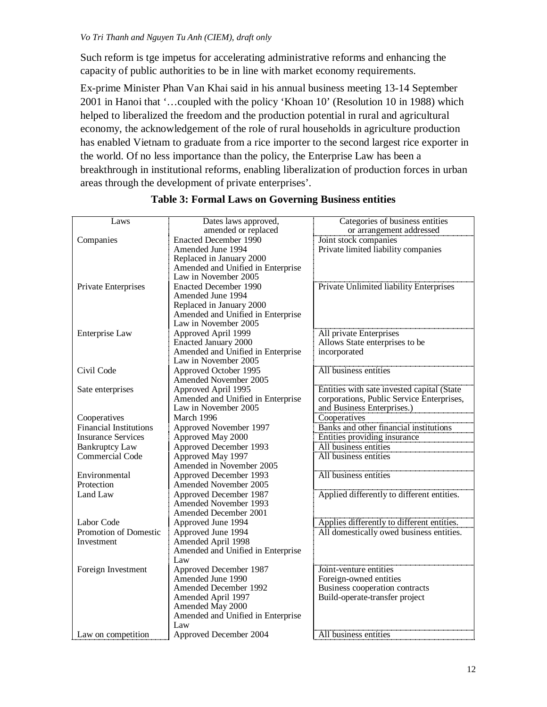Such reform is tge impetus for accelerating administrative reforms and enhancing the capacity of public authorities to be in line with market economy requirements.

Ex-prime Minister Phan Van Khai said in his annual business meeting 13-14 September 2001 in Hanoi that '…coupled with the policy 'Khoan 10' (Resolution 10 in 1988) which helped to liberalized the freedom and the production potential in rural and agricultural economy, the acknowledgement of the role of rural households in agriculture production has enabled Vietnam to graduate from a rice importer to the second largest rice exporter in the world. Of no less importance than the policy, the Enterprise Law has been a breakthrough in institutional reforms, enabling liberalization of production forces in urban areas through the development of private enterprises'.

| Laws                          | Dates laws approved,                                      | Categories of business entities            |
|-------------------------------|-----------------------------------------------------------|--------------------------------------------|
|                               | amended or replaced                                       | or arrangement addressed                   |
| Companies                     | <b>Enacted December 1990</b>                              | Joint stock companies                      |
|                               | Amended June 1994                                         | Private limited liability companies        |
|                               | Replaced in January 2000                                  |                                            |
|                               | Amended and Unified in Enterprise                         |                                            |
|                               | Law in November 2005                                      |                                            |
|                               |                                                           |                                            |
| Private Enterprises           | <b>Enacted December 1990</b><br>Amended June 1994         | Private Unlimited liability Enterprises    |
|                               |                                                           |                                            |
|                               | Replaced in January 2000                                  |                                            |
|                               | Amended and Unified in Enterprise<br>Law in November 2005 |                                            |
|                               |                                                           |                                            |
| Enterprise Law                | Approved April 1999                                       | All private Enterprises                    |
|                               | <b>Enacted January 2000</b>                               | Allows State enterprises to be             |
|                               | Amended and Unified in Enterprise                         | incorporated                               |
|                               | Law in November 2005                                      |                                            |
| Civil Code                    | Approved October 1995                                     | All business entities                      |
|                               | Amended November 2005                                     |                                            |
| Sate enterprises              | Approved April 1995                                       | Entities with sate invested capital (State |
|                               | Amended and Unified in Enterprise                         | corporations, Public Service Enterprises,  |
|                               | Law in November 2005                                      | and Business Enterprises.)                 |
| Cooperatives                  | March 1996                                                | Cooperatives                               |
| <b>Financial Institutions</b> | Approved November 1997                                    | Banks and other financial institutions     |
| <b>Insurance Services</b>     | Approved May 2000                                         | Entities providing insurance               |
| <b>Bankruptcy Law</b>         | Approved December 1993                                    | All business entities                      |
| Commercial Code               | Approved May 1997                                         | All business entities                      |
|                               | Amended in November 2005                                  |                                            |
| Environmental                 | Approved December 1993                                    | All business entities                      |
| Protection                    | <b>Amended November 2005</b>                              |                                            |
| Land Law                      | Approved December 1987                                    | Applied differently to different entities. |
|                               | Amended November 1993                                     |                                            |
|                               | <b>Amended December 2001</b>                              |                                            |
| Labor Code                    | Approved June 1994                                        | Applies differently to different entities. |
| Promotion of Domestic         | Approved June 1994                                        | All domestically owed business entities.   |
| Investment                    | Amended April 1998                                        |                                            |
|                               | Amended and Unified in Enterprise                         |                                            |
|                               | Law                                                       |                                            |
| Foreign Investment            | Approved December 1987                                    | Joint-venture entities                     |
|                               | Amended June 1990                                         | Foreign-owned entities                     |
|                               | Amended December 1992                                     | Business cooperation contracts             |
|                               | Amended April 1997                                        | Build-operate-transfer project             |
|                               | Amended May 2000                                          |                                            |
|                               | Amended and Unified in Enterprise                         |                                            |
|                               | Law                                                       |                                            |
| Law on competition            | Approved December 2004                                    | All business entities                      |

# **Table 3: Formal Laws on Governing Business entities**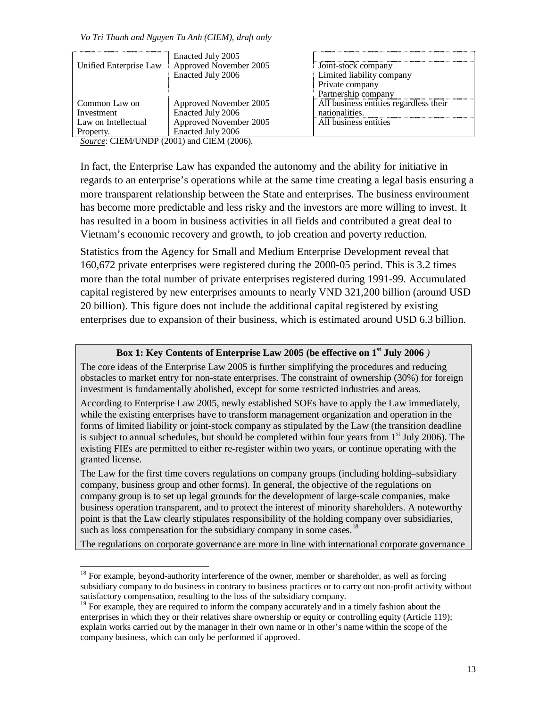|                        | Enacted July 2005      |                                        |
|------------------------|------------------------|----------------------------------------|
| Unified Enterprise Law | Approved November 2005 | Joint-stock company                    |
|                        | Enacted July 2006      | Limited liability company              |
|                        |                        | Private company                        |
|                        |                        | Partnership company                    |
| Common Law on          | Approved November 2005 | All business entities regardless their |
| Investment             | Enacted July 2006      | nationalities.                         |
| Law on Intellectual    | Approved November 2005 | All business entities                  |
| Property.              | Enacted July 2006      |                                        |
|                        |                        |                                        |

*Source*: CIEM/UNDP (2001) and CIEM (2006).

 $\overline{a}$ 

In fact, the Enterprise Law has expanded the autonomy and the ability for initiative in regards to an enterprise's operations while at the same time creating a legal basis ensuring a more transparent relationship between the State and enterprises. The business environment has become more predictable and less risky and the investors are more willing to invest. It has resulted in a boom in business activities in all fields and contributed a great deal to Vietnam's economic recovery and growth, to job creation and poverty reduction.

Statistics from the Agency for Small and Medium Enterprise Development reveal that 160,672 private enterprises were registered during the 2000-05 period. This is 3.2 times more than the total number of private enterprises registered during 1991-99. Accumulated capital registered by new enterprises amounts to nearly VND 321,200 billion (around USD 20 billion). This figure does not include the additional capital registered by existing enterprises due to expansion of their business, which is estimated around USD 6.3 billion.

# **Box 1: Key Contents of Enterprise Law 2005 (be effective on 1st July 2006** *)*

The core ideas of the Enterprise Law 2005 is further simplifying the procedures and reducing obstacles to market entry for non-state enterprises. The constraint of ownership (30%) for foreign investment is fundamentally abolished, except for some restricted industries and areas.

According to Enterprise Law 2005, newly established SOEs have to apply the Law immediately, while the existing enterprises have to transform management organization and operation in the forms of limited liability or joint-stock company as stipulated by the Law (the transition deadline is subject to annual schedules, but should be completed within four years from  $1<sup>st</sup>$  July 2006). The existing FIEs are permitted to either re-register within two years, or continue operating with the granted license.

The Law for the first time covers regulations on company groups (including holding–subsidiary company, business group and other forms). In general, the objective of the regulations on company group is to set up legal grounds for the development of large-scale companies, make business operation transparent, and to protect the interest of minority shareholders. A noteworthy point is that the Law clearly stipulates responsibility of the holding company over subsidiaries, such as loss compensation for the subsidiary company in some cases.<sup>18</sup>

The regulations on corporate governance are more in line with international corporate governance

 $18$  For example, beyond-authority interference of the owner, member or shareholder, as well as forcing subsidiary company to do business in contrary to business practices or to carry out non-profit activity without satisfactory compensation, resulting to the loss of the subsidiary company.

<sup>&</sup>lt;sup>19</sup> For example, they are required to inform the company accurately and in a timely fashion about the enterprises in which they or their relatives share ownership or equity or controlling equity (Article 119); explain works carried out by the manager in their own name or in other's name within the scope of the company business, which can only be performed if approved.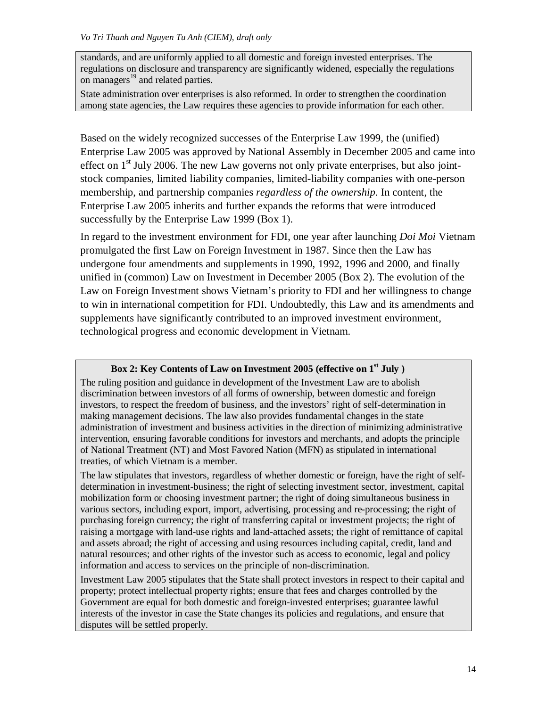standards, and are uniformly applied to all domestic and foreign invested enterprises. The regulations on disclosure and transparency are significantly widened, especially the regulations on managers<sup>19</sup> and related parties.

State administration over enterprises is also reformed. In order to strengthen the coordination among state agencies, the Law requires these agencies to provide information for each other.

Based on the widely recognized successes of the Enterprise Law 1999, the (unified) Enterprise Law 2005 was approved by National Assembly in December 2005 and came into effect on  $1<sup>st</sup>$  July 2006. The new Law governs not only private enterprises, but also jointstock companies, limited liability companies, limited-liability companies with one-person membership, and partnership companies *regardless of the ownership*. In content, the Enterprise Law 2005 inherits and further expands the reforms that were introduced successfully by the Enterprise Law 1999 (Box 1).

In regard to the investment environment for FDI, one year after launching *Doi Moi* Vietnam promulgated the first Law on Foreign Investment in 1987. Since then the Law has undergone four amendments and supplements in 1990, 1992, 1996 and 2000, and finally unified in (common) Law on Investment in December 2005 (Box 2). The evolution of the Law on Foreign Investment shows Vietnam's priority to FDI and her willingness to change to win in international competition for FDI. Undoubtedly, this Law and its amendments and supplements have significantly contributed to an improved investment environment, technological progress and economic development in Vietnam.

# **Box 2: Key Contents of Law on Investment 2005 (effective on 1st July )**

The ruling position and guidance in development of the Investment Law are to abolish discrimination between investors of all forms of ownership, between domestic and foreign investors, to respect the freedom of business, and the investors' right of self-determination in making management decisions. The law also provides fundamental changes in the state administration of investment and business activities in the direction of minimizing administrative intervention, ensuring favorable conditions for investors and merchants, and adopts the principle of National Treatment (NT) and Most Favored Nation (MFN) as stipulated in international treaties, of which Vietnam is a member.

The law stipulates that investors, regardless of whether domestic or foreign, have the right of selfdetermination in investment-business; the right of selecting investment sector, investment, capital mobilization form or choosing investment partner; the right of doing simultaneous business in various sectors, including export, import, advertising, processing and re-processing; the right of purchasing foreign currency; the right of transferring capital or investment projects; the right of raising a mortgage with land-use rights and land-attached assets; the right of remittance of capital and assets abroad; the right of accessing and using resources including capital, credit, land and natural resources; and other rights of the investor such as access to economic, legal and policy information and access to services on the principle of non-discrimination.

Investment Law 2005 stipulates that the State shall protect investors in respect to their capital and property; protect intellectual property rights; ensure that fees and charges controlled by the Government are equal for both domestic and foreign-invested enterprises; guarantee lawful interests of the investor in case the State changes its policies and regulations, and ensure that disputes will be settled properly.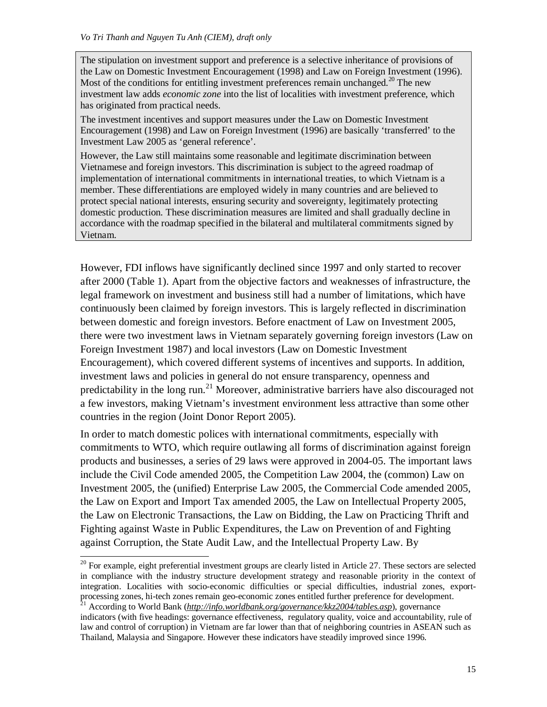$\overline{a}$ 

The stipulation on investment support and preference is a selective inheritance of provisions of the Law on Domestic Investment Encouragement (1998) and Law on Foreign Investment (1996). Most of the conditions for entitling investment preferences remain unchanged.<sup>20</sup> The new investment law adds *economic zone* into the list of localities with investment preference, which has originated from practical needs.

The investment incentives and support measures under the Law on Domestic Investment Encouragement (1998) and Law on Foreign Investment (1996) are basically 'transferred' to the Investment Law 2005 as 'general reference'.

However, the Law still maintains some reasonable and legitimate discrimination between Vietnamese and foreign investors. This discrimination is subject to the agreed roadmap of implementation of international commitments in international treaties, to which Vietnam is a member. These differentiations are employed widely in many countries and are believed to protect special national interests, ensuring security and sovereignty, legitimately protecting domestic production. These discrimination measures are limited and shall gradually decline in accordance with the roadmap specified in the bilateral and multilateral commitments signed by Vietnam.

However, FDI inflows have significantly declined since 1997 and only started to recover after 2000 (Table 1). Apart from the objective factors and weaknesses of infrastructure, the legal framework on investment and business still had a number of limitations, which have continuously been claimed by foreign investors. This is largely reflected in discrimination between domestic and foreign investors. Before enactment of Law on Investment 2005, there were two investment laws in Vietnam separately governing foreign investors (Law on Foreign Investment 1987) and local investors (Law on Domestic Investment Encouragement), which covered different systems of incentives and supports. In addition, investment laws and policies in general do not ensure transparency, openness and predictability in the long run.<sup>21</sup> Moreover, administrative barriers have also discouraged not a few investors, making Vietnam's investment environment less attractive than some other countries in the region (Joint Donor Report 2005).

In order to match domestic polices with international commitments, especially with commitments to WTO, which require outlawing all forms of discrimination against foreign products and businesses, a series of 29 laws were approved in 2004-05. The important laws include the Civil Code amended 2005, the Competition Law 2004, the (common) Law on Investment 2005, the (unified) Enterprise Law 2005, the Commercial Code amended 2005, the Law on Export and Import Tax amended 2005, the Law on Intellectual Property 2005, the Law on Electronic Transactions, the Law on Bidding, the Law on Practicing Thrift and Fighting against Waste in Public Expenditures, the Law on Prevention of and Fighting against Corruption, the State Audit Law, and the Intellectual Property Law. By

 $20$  For example, eight preferential investment groups are clearly listed in Article 27. These sectors are selected in compliance with the industry structure development strategy and reasonable priority in the context of integration. Localities with socio-economic difficulties or special difficulties, industrial zones, exportprocessing zones, hi-tech zones remain geo-economic zones entitled further preference for development.

<sup>21</sup> According to World Bank (*<http://info.worldbank.org/governance/kkz2004/tables.asp>*), governance indicators (with five headings: governance effectiveness, regulatory quality, voice and accountability, rule of law and control of corruption) in Vietnam are far lower than that of neighboring countries in ASEAN such as Thailand, Malaysia and Singapore. However these indicators have steadily improved since 1996.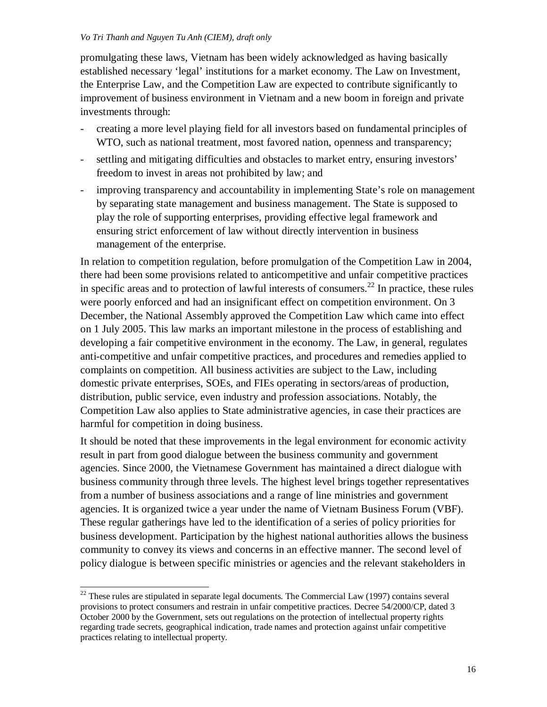promulgating these laws, Vietnam has been widely acknowledged as having basically established necessary 'legal' institutions for a market economy. The Law on Investment, the Enterprise Law, and the Competition Law are expected to contribute significantly to improvement of business environment in Vietnam and a new boom in foreign and private investments through:

- creating a more level playing field for all investors based on fundamental principles of WTO, such as national treatment, most favored nation, openness and transparency;
- settling and mitigating difficulties and obstacles to market entry, ensuring investors' freedom to invest in areas not prohibited by law; and
- improving transparency and accountability in implementing State's role on management by separating state management and business management. The State is supposed to play the role of supporting enterprises, providing effective legal framework and ensuring strict enforcement of law without directly intervention in business management of the enterprise.

In relation to competition regulation, before promulgation of the Competition Law in 2004, there had been some provisions related to anticompetitive and unfair competitive practices in specific areas and to protection of lawful interests of consumers.<sup>22</sup> In practice, these rules were poorly enforced and had an insignificant effect on competition environment. On 3 December, the National Assembly approved the Competition Law which came into effect on 1 July 2005. This law marks an important milestone in the process of establishing and developing a fair competitive environment in the economy. The Law, in general, regulates anti-competitive and unfair competitive practices, and procedures and remedies applied to complaints on competition. All business activities are subject to the Law, including domestic private enterprises, SOEs, and FIEs operating in sectors/areas of production, distribution, public service, even industry and profession associations. Notably, the Competition Law also applies to State administrative agencies, in case their practices are harmful for competition in doing business.

It should be noted that these improvements in the legal environment for economic activity result in part from good dialogue between the business community and government agencies. Since 2000, the Vietnamese Government has maintained a direct dialogue with business community through three levels. The highest level brings together representatives from a number of business associations and a range of line ministries and government agencies. It is organized twice a year under the name of Vietnam Business Forum (VBF). These regular gatherings have led to the identification of a series of policy priorities for business development. Participation by the highest national authorities allows the business community to convey its views and concerns in an effective manner. The second level of policy dialogue is between specific ministries or agencies and the relevant stakeholders in

 $\overline{\phantom{a}}$ 

 $22$  These rules are stipulated in separate legal documents. The Commercial Law (1997) contains several provisions to protect consumers and restrain in unfair competitive practices. Decree 54/2000/CP, dated 3 October 2000 by the Government, sets out regulations on the protection of intellectual property rights regarding trade secrets, geographical indication, trade names and protection against unfair competitive practices relating to intellectual property.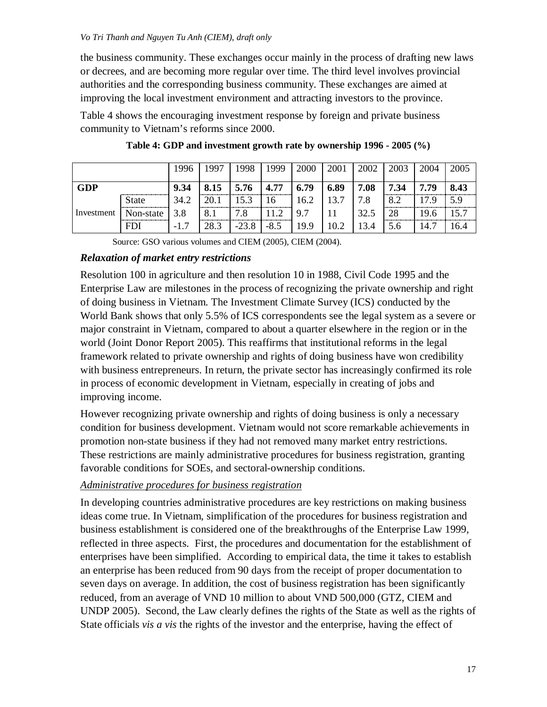the business community. These exchanges occur mainly in the process of drafting new laws or decrees, and are becoming more regular over time. The third level involves provincial authorities and the corresponding business community. These exchanges are aimed at improving the local investment environment and attracting investors to the province.

Table 4 shows the encouraging investment response by foreign and private business community to Vietnam's reforms since 2000.

|            |              | 1996 | 1997 | 1998    | 1999   | 2000 | 2001 | 2002 | 2003 | 2004 | 2005 |
|------------|--------------|------|------|---------|--------|------|------|------|------|------|------|
| <b>GDP</b> |              | 9.34 | 8.15 | 5.76    | 4.77   | 6.79 | 6.89 | 7.08 | 7.34 | 7.79 | 8.43 |
|            | <b>State</b> | 34.2 | 20.1 | 15.3    | 16     | 16.2 | 13.7 | 7.8  | 8.2  | 17.9 | 5.9  |
| Investment | Non-state    | 3.8  | 8.1  | 7.8     | 11.2   | 9.7  |      | 32.5 | 28   | 19.6 | 15.7 |
|            | <b>FDI</b>   |      | 28.3 | $-23.8$ | $-8.5$ | 19.9 | 10.2 | 13.4 | 5.6  | 14.7 | .6.4 |

| Table 4: GDP and investment growth rate by ownership 1996 - 2005 (%) |  |  |  |  |  |
|----------------------------------------------------------------------|--|--|--|--|--|
|----------------------------------------------------------------------|--|--|--|--|--|

Source: GSO various volumes and CIEM (2005), CIEM (2004).

# *Relaxation of market entry restrictions*

Resolution 100 in agriculture and then resolution 10 in 1988, Civil Code 1995 and the Enterprise Law are milestones in the process of recognizing the private ownership and right of doing business in Vietnam. The Investment Climate Survey (ICS) conducted by the World Bank shows that only 5.5% of ICS correspondents see the legal system as a severe or major constraint in Vietnam, compared to about a quarter elsewhere in the region or in the world (Joint Donor Report 2005). This reaffirms that institutional reforms in the legal framework related to private ownership and rights of doing business have won credibility with business entrepreneurs. In return, the private sector has increasingly confirmed its role in process of economic development in Vietnam, especially in creating of jobs and improving income.

However recognizing private ownership and rights of doing business is only a necessary condition for business development. Vietnam would not score remarkable achievements in promotion non-state business if they had not removed many market entry restrictions. These restrictions are mainly administrative procedures for business registration, granting favorable conditions for SOEs, and sectoral-ownership conditions.

# *Administrative procedures for business registration*

In developing countries administrative procedures are key restrictions on making business ideas come true. In Vietnam, simplification of the procedures for business registration and business establishment is considered one of the breakthroughs of the Enterprise Law 1999, reflected in three aspects. First, the procedures and documentation for the establishment of enterprises have been simplified. According to empirical data, the time it takes to establish an enterprise has been reduced from 90 days from the receipt of proper documentation to seven days on average. In addition, the cost of business registration has been significantly reduced, from an average of VND 10 million to about VND 500,000 (GTZ, CIEM and UNDP 2005). Second, the Law clearly defines the rights of the State as well as the rights of State officials *vis a vis* the rights of the investor and the enterprise, having the effect of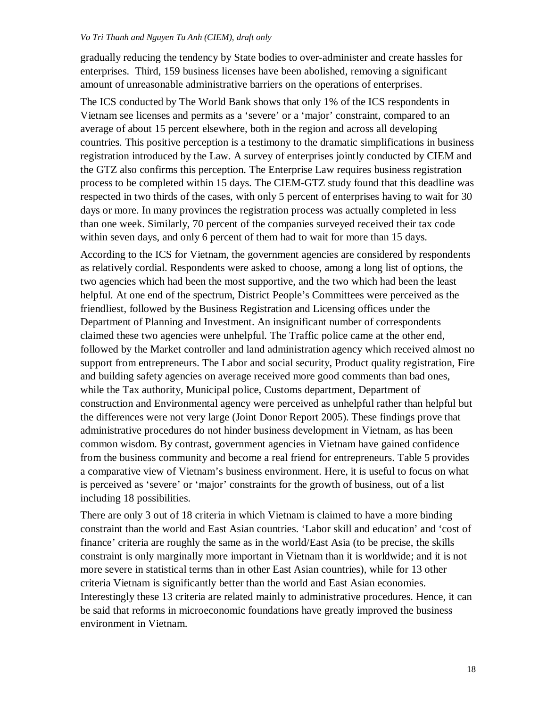gradually reducing the tendency by State bodies to over-administer and create hassles for enterprises. Third, 159 business licenses have been abolished, removing a significant amount of unreasonable administrative barriers on the operations of enterprises.

The ICS conducted by The World Bank shows that only 1% of the ICS respondents in Vietnam see licenses and permits as a 'severe' or a 'major' constraint, compared to an average of about 15 percent elsewhere, both in the region and across all developing countries. This positive perception is a testimony to the dramatic simplifications in business registration introduced by the Law. A survey of enterprises jointly conducted by CIEM and the GTZ also confirms this perception. The Enterprise Law requires business registration process to be completed within 15 days. The CIEM-GTZ study found that this deadline was respected in two thirds of the cases, with only 5 percent of enterprises having to wait for 30 days or more. In many provinces the registration process was actually completed in less than one week. Similarly, 70 percent of the companies surveyed received their tax code within seven days, and only 6 percent of them had to wait for more than 15 days.

According to the ICS for Vietnam, the government agencies are considered by respondents as relatively cordial. Respondents were asked to choose, among a long list of options, the two agencies which had been the most supportive, and the two which had been the least helpful. At one end of the spectrum, District People's Committees were perceived as the friendliest, followed by the Business Registration and Licensing offices under the Department of Planning and Investment. An insignificant number of correspondents claimed these two agencies were unhelpful. The Traffic police came at the other end, followed by the Market controller and land administration agency which received almost no support from entrepreneurs. The Labor and social security, Product quality registration, Fire and building safety agencies on average received more good comments than bad ones, while the Tax authority, Municipal police, Customs department, Department of construction and Environmental agency were perceived as unhelpful rather than helpful but the differences were not very large (Joint Donor Report 2005). These findings prove that administrative procedures do not hinder business development in Vietnam, as has been common wisdom. By contrast, government agencies in Vietnam have gained confidence from the business community and become a real friend for entrepreneurs. Table 5 provides a comparative view of Vietnam's business environment. Here, it is useful to focus on what is perceived as 'severe' or 'major' constraints for the growth of business, out of a list including 18 possibilities.

There are only 3 out of 18 criteria in which Vietnam is claimed to have a more binding constraint than the world and East Asian countries. 'Labor skill and education' and 'cost of finance' criteria are roughly the same as in the world/East Asia (to be precise, the skills constraint is only marginally more important in Vietnam than it is worldwide; and it is not more severe in statistical terms than in other East Asian countries), while for 13 other criteria Vietnam is significantly better than the world and East Asian economies. Interestingly these 13 criteria are related mainly to administrative procedures. Hence, it can be said that reforms in microeconomic foundations have greatly improved the business environment in Vietnam.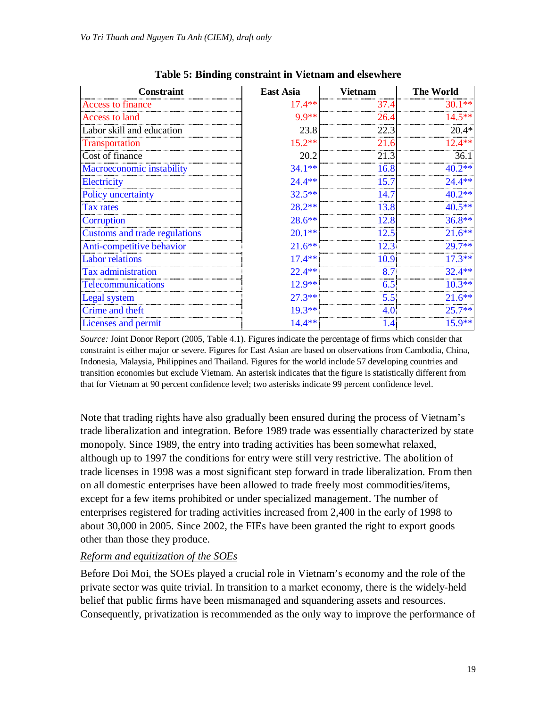| Constraint                    | <b>East Asia</b> | <b>Vietnam</b> | <b>The World</b> |
|-------------------------------|------------------|----------------|------------------|
| Access to finance             | $17.4**$         | 37.4           | $30.1**$         |
| Access to land                | 9.9 **           | 26.4           | 14 5**           |
| Labor skill and education     | 23.8             | 22.3           | $20.4*$          |
| Transportation                | $15.2**$         | 21.6           | $12.4**$         |
| Cost of finance               | 20.2             | 21.3           | 36.1             |
| Macroeconomic instability     | $34.1**$         | 16.8           | $40.2**$         |
| Electricity                   | $24.4**$         | 15.7           | $24.4**$         |
| Policy uncertainty            | $32.5**$         | 14.7           | $40.2**$         |
| <b>Tax rates</b>              | $28.2**$         | 13.8           | $40.5**$         |
| Corruption                    | $28.6**$         | 12.8           | $36.8**$         |
| Customs and trade regulations | $20.1**$         | 12.5           | $21.6**$         |
| Anti-competitive behavior     | $21.6***$        | 12.3           | $29.7**$         |
| <b>Labor relations</b>        | $17.4**$         | 10.9           | $17.3**$         |
| <b>Tax administration</b>     | $22.4**$         | 8.7            | $32.4**$         |
| <b>Telecommunications</b>     | $12.9**$         | 6.5            | $10.3**$         |
| Legal system                  | $27.3**$         | 5.5            | $21.6**$         |
| Crime and theft               | $19.3**$         | 4.C            | $25.7**$         |
| Licenses and permit           | $14.4**$         | 1.4            | $15.9**$         |

**Table 5: Binding constraint in Vietnam and elsewhere**

*Source:* Joint Donor Report (2005, Table 4.1). Figures indicate the percentage of firms which consider that constraint is either major or severe. Figures for East Asian are based on observations from Cambodia, China, Indonesia, Malaysia, Philippines and Thailand. Figures for the world include 57 developing countries and transition economies but exclude Vietnam. An asterisk indicates that the figure is statistically different from that for Vietnam at 90 percent confidence level; two asterisks indicate 99 percent confidence level.

Note that trading rights have also gradually been ensured during the process of Vietnam's trade liberalization and integration. Before 1989 trade was essentially characterized by state monopoly. Since 1989, the entry into trading activities has been somewhat relaxed, although up to 1997 the conditions for entry were still very restrictive. The abolition of trade licenses in 1998 was a most significant step forward in trade liberalization. From then on all domestic enterprises have been allowed to trade freely most commodities/items, except for a few items prohibited or under specialized management. The number of enterprises registered for trading activities increased from 2,400 in the early of 1998 to about 30,000 in 2005. Since 2002, the FIEs have been granted the right to export goods other than those they produce.

# *Reform and equitization of the SOEs*

Before Doi Moi, the SOEs played a crucial role in Vietnam's economy and the role of the private sector was quite trivial. In transition to a market economy, there is the widely-held belief that public firms have been mismanaged and squandering assets and resources. Consequently, privatization is recommended as the only way to improve the performance of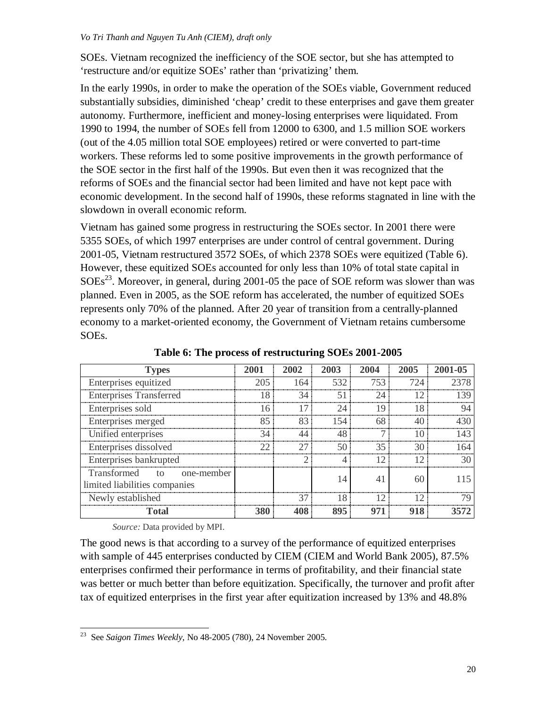SOEs. Vietnam recognized the inefficiency of the SOE sector, but she has attempted to 'restructure and/or equitize SOEs' rather than 'privatizing' them.

In the early 1990s, in order to make the operation of the SOEs viable, Government reduced substantially subsidies, diminished 'cheap' credit to these enterprises and gave them greater autonomy. Furthermore, inefficient and money-losing enterprises were liquidated. From 1990 to 1994, the number of SOEs fell from 12000 to 6300, and 1.5 million SOE workers (out of the 4.05 million total SOE employees) retired or were converted to part-time workers. These reforms led to some positive improvements in the growth performance of the SOE sector in the first half of the 1990s. But even then it was recognized that the reforms of SOEs and the financial sector had been limited and have not kept pace with economic development. In the second half of 1990s, these reforms stagnated in line with the slowdown in overall economic reform.

Vietnam has gained some progress in restructuring the SOEs sector. In 2001 there were 5355 SOEs, of which 1997 enterprises are under control of central government. During 2001-05, Vietnam restructured 3572 SOEs, of which 2378 SOEs were equitized (Table 6). However, these equitized SOEs accounted for only less than 10% of total state capital in  $SOEs<sup>23</sup>$ . Moreover, in general, during 2001-05 the pace of SOE reform was slower than was planned. Even in 2005, as the SOE reform has accelerated, the number of equitized SOEs represents only 70% of the planned. After 20 year of transition from a centrally-planned economy to a market-oriented economy, the Government of Vietnam retains cumbersome SOEs.

| <b>Types</b>                   | 2001 | 2002 | 2003 | 2004 | 2005 | 2001-05 |
|--------------------------------|------|------|------|------|------|---------|
| Enterprises equitized          | 205  | 164  | 532  | 753  | 724  |         |
| <b>Enterprises Transferred</b> | 18   | 34   | 51   | 24   | 12   | -39     |
| Enterprises sold               | I6   | l 7  | 24   | 19   | 18   |         |
| Enterprises merged             | 85   | 83   | 154  | 68   | 40   |         |
| Unified enterprises            | 34   | 44   | 48   |      | 10   | .43     |
| Enterprises dissolved          | つつ   | 27   | 50   | 35   | 30   | -64     |
| Enterprises bankrupted         |      | ◠    |      |      | 12   | 30      |
| Transformed to one-member      |      |      | 14   |      | 60   |         |
| limited liabilities companies  |      |      |      |      |      |         |
| Newly established              |      | 37   | 18   |      | 12   |         |
| Total                          | 380  | 408  | 895  | 971  | 918  |         |

**Table 6: The process of restructuring SOEs 2001-2005** 

*Source:* Data provided by MPI.

The good news is that according to a survey of the performance of equitized enterprises with sample of 445 enterprises conducted by CIEM (CIEM and World Bank 2005), 87.5% enterprises confirmed their performance in terms of profitability, and their financial state was better or much better than before equitization. Specifically, the turnover and profit after tax of equitized enterprises in the first year after equitization increased by 13% and 48.8%

 23 See *Saigon Times Weekly*, No 48-2005 (780), 24 November 2005.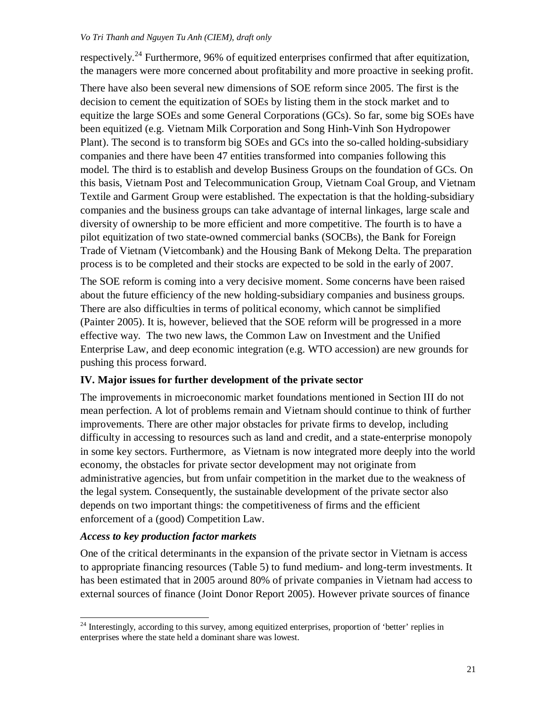respectively.<sup>24</sup> Furthermore, 96% of equitized enterprises confirmed that after equitization, the managers were more concerned about profitability and more proactive in seeking profit.

There have also been several new dimensions of SOE reform since 2005. The first is the decision to cement the equitization of SOEs by listing them in the stock market and to equitize the large SOEs and some General Corporations (GCs). So far, some big SOEs have been equitized (e.g. Vietnam Milk Corporation and Song Hinh-Vinh Son Hydropower Plant). The second is to transform big SOEs and GCs into the so-called holding-subsidiary companies and there have been 47 entities transformed into companies following this model. The third is to establish and develop Business Groups on the foundation of GCs. On this basis, Vietnam Post and Telecommunication Group, Vietnam Coal Group, and Vietnam Textile and Garment Group were established. The expectation is that the holding-subsidiary companies and the business groups can take advantage of internal linkages, large scale and diversity of ownership to be more efficient and more competitive. The fourth is to have a pilot equitization of two state-owned commercial banks (SOCBs), the Bank for Foreign Trade of Vietnam (Vietcombank) and the Housing Bank of Mekong Delta. The preparation process is to be completed and their stocks are expected to be sold in the early of 2007.

The SOE reform is coming into a very decisive moment. Some concerns have been raised about the future efficiency of the new holding-subsidiary companies and business groups. There are also difficulties in terms of political economy, which cannot be simplified (Painter 2005). It is, however, believed that the SOE reform will be progressed in a more effective way. The two new laws, the Common Law on Investment and the Unified Enterprise Law, and deep economic integration (e.g. WTO accession) are new grounds for pushing this process forward.

# **IV. Major issues for further development of the private sector**

The improvements in microeconomic market foundations mentioned in Section III do not mean perfection. A lot of problems remain and Vietnam should continue to think of further improvements. There are other major obstacles for private firms to develop, including difficulty in accessing to resources such as land and credit, and a state-enterprise monopoly in some key sectors. Furthermore, as Vietnam is now integrated more deeply into the world economy, the obstacles for private sector development may not originate from administrative agencies, but from unfair competition in the market due to the weakness of the legal system. Consequently, the sustainable development of the private sector also depends on two important things: the competitiveness of firms and the efficient enforcement of a (good) Competition Law.

# *Access to key production factor markets*

 $\overline{\phantom{a}}$ 

One of the critical determinants in the expansion of the private sector in Vietnam is access to appropriate financing resources (Table 5) to fund medium- and long-term investments. It has been estimated that in 2005 around 80% of private companies in Vietnam had access to external sources of finance (Joint Donor Report 2005). However private sources of finance

<sup>&</sup>lt;sup>24</sup> Interestingly, according to this survey, among equitized enterprises, proportion of 'better' replies in enterprises where the state held a dominant share was lowest.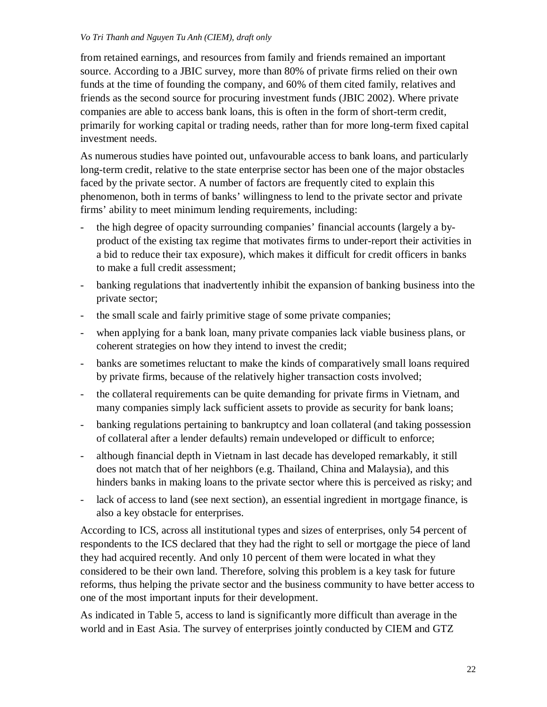from retained earnings, and resources from family and friends remained an important source. According to a JBIC survey, more than 80% of private firms relied on their own funds at the time of founding the company, and 60% of them cited family, relatives and friends as the second source for procuring investment funds (JBIC 2002). Where private companies are able to access bank loans, this is often in the form of short-term credit, primarily for working capital or trading needs, rather than for more long-term fixed capital investment needs.

As numerous studies have pointed out, unfavourable access to bank loans, and particularly long-term credit, relative to the state enterprise sector has been one of the major obstacles faced by the private sector. A number of factors are frequently cited to explain this phenomenon, both in terms of banks' willingness to lend to the private sector and private firms' ability to meet minimum lending requirements, including:

- the high degree of opacity surrounding companies' financial accounts (largely a byproduct of the existing tax regime that motivates firms to under-report their activities in a bid to reduce their tax exposure), which makes it difficult for credit officers in banks to make a full credit assessment;
- banking regulations that inadvertently inhibit the expansion of banking business into the private sector;
- the small scale and fairly primitive stage of some private companies;
- when applying for a bank loan, many private companies lack viable business plans, or coherent strategies on how they intend to invest the credit;
- banks are sometimes reluctant to make the kinds of comparatively small loans required by private firms, because of the relatively higher transaction costs involved;
- the collateral requirements can be quite demanding for private firms in Vietnam, and many companies simply lack sufficient assets to provide as security for bank loans;
- banking regulations pertaining to bankruptcy and loan collateral (and taking possession of collateral after a lender defaults) remain undeveloped or difficult to enforce;
- although financial depth in Vietnam in last decade has developed remarkably, it still does not match that of her neighbors (e.g. Thailand, China and Malaysia), and this hinders banks in making loans to the private sector where this is perceived as risky; and
- lack of access to land (see next section), an essential ingredient in mortgage finance, is also a key obstacle for enterprises.

According to ICS, across all institutional types and sizes of enterprises, only 54 percent of respondents to the ICS declared that they had the right to sell or mortgage the piece of land they had acquired recently. And only 10 percent of them were located in what they considered to be their own land. Therefore, solving this problem is a key task for future reforms, thus helping the private sector and the business community to have better access to one of the most important inputs for their development.

As indicated in Table 5, access to land is significantly more difficult than average in the world and in East Asia. The survey of enterprises jointly conducted by CIEM and GTZ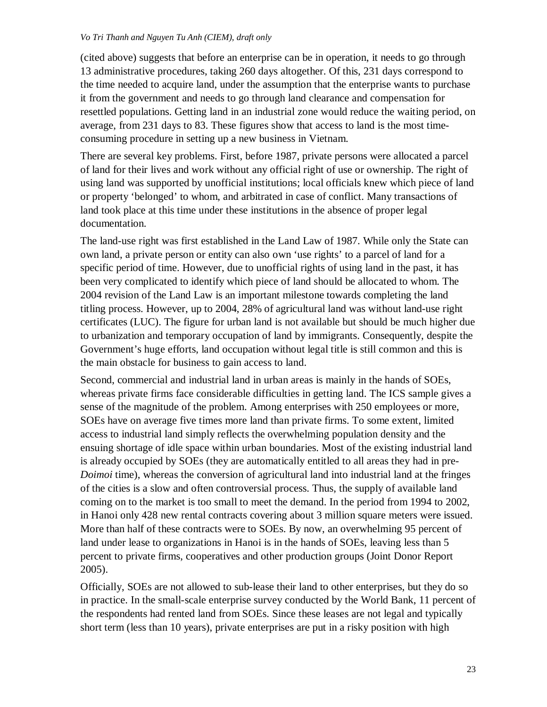(cited above) suggests that before an enterprise can be in operation, it needs to go through 13 administrative procedures, taking 260 days altogether. Of this, 231 days correspond to the time needed to acquire land, under the assumption that the enterprise wants to purchase it from the government and needs to go through land clearance and compensation for resettled populations. Getting land in an industrial zone would reduce the waiting period, on average, from 231 days to 83. These figures show that access to land is the most timeconsuming procedure in setting up a new business in Vietnam.

There are several key problems. First, before 1987, private persons were allocated a parcel of land for their lives and work without any official right of use or ownership. The right of using land was supported by unofficial institutions; local officials knew which piece of land or property 'belonged' to whom, and arbitrated in case of conflict. Many transactions of land took place at this time under these institutions in the absence of proper legal documentation.

The land-use right was first established in the Land Law of 1987. While only the State can own land, a private person or entity can also own 'use rights' to a parcel of land for a specific period of time. However, due to unofficial rights of using land in the past, it has been very complicated to identify which piece of land should be allocated to whom. The 2004 revision of the Land Law is an important milestone towards completing the land titling process. However, up to 2004, 28% of agricultural land was without land-use right certificates (LUC). The figure for urban land is not available but should be much higher due to urbanization and temporary occupation of land by immigrants. Consequently, despite the Government's huge efforts, land occupation without legal title is still common and this is the main obstacle for business to gain access to land.

Second, commercial and industrial land in urban areas is mainly in the hands of SOEs, whereas private firms face considerable difficulties in getting land. The ICS sample gives a sense of the magnitude of the problem. Among enterprises with 250 employees or more, SOEs have on average five times more land than private firms. To some extent, limited access to industrial land simply reflects the overwhelming population density and the ensuing shortage of idle space within urban boundaries. Most of the existing industrial land is already occupied by SOEs (they are automatically entitled to all areas they had in pre-*Doimoi* time), whereas the conversion of agricultural land into industrial land at the fringes of the cities is a slow and often controversial process. Thus, the supply of available land coming on to the market is too small to meet the demand. In the period from 1994 to 2002, in Hanoi only 428 new rental contracts covering about 3 million square meters were issued. More than half of these contracts were to SOEs. By now, an overwhelming 95 percent of land under lease to organizations in Hanoi is in the hands of SOEs, leaving less than 5 percent to private firms, cooperatives and other production groups (Joint Donor Report 2005).

Officially, SOEs are not allowed to sub-lease their land to other enterprises, but they do so in practice. In the small-scale enterprise survey conducted by the World Bank, 11 percent of the respondents had rented land from SOEs. Since these leases are not legal and typically short term (less than 10 years), private enterprises are put in a risky position with high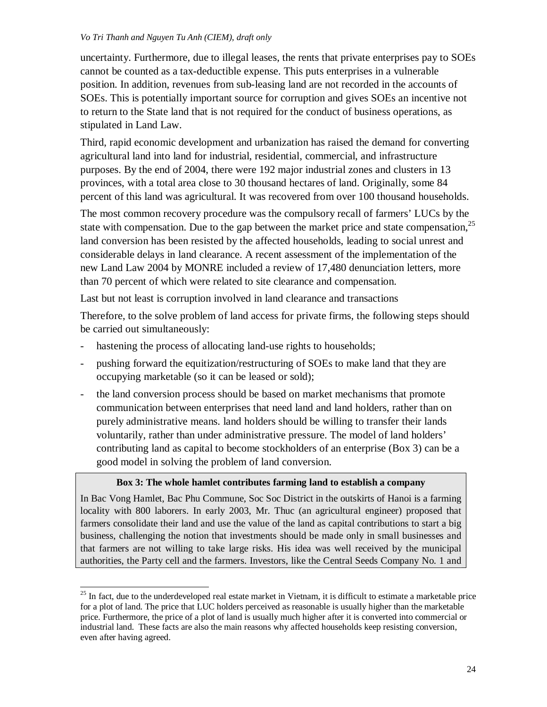uncertainty. Furthermore, due to illegal leases, the rents that private enterprises pay to SOEs cannot be counted as a tax-deductible expense. This puts enterprises in a vulnerable position. In addition, revenues from sub-leasing land are not recorded in the accounts of SOEs. This is potentially important source for corruption and gives SOEs an incentive not to return to the State land that is not required for the conduct of business operations, as stipulated in Land Law.

Third, rapid economic development and urbanization has raised the demand for converting agricultural land into land for industrial, residential, commercial, and infrastructure purposes. By the end of 2004, there were 192 major industrial zones and clusters in 13 provinces, with a total area close to 30 thousand hectares of land. Originally, some 84 percent of this land was agricultural. It was recovered from over 100 thousand households.

The most common recovery procedure was the compulsory recall of farmers' LUCs by the state with compensation. Due to the gap between the market price and state compensation,<sup>25</sup> land conversion has been resisted by the affected households, leading to social unrest and considerable delays in land clearance. A recent assessment of the implementation of the new Land Law 2004 by MONRE included a review of 17,480 denunciation letters, more than 70 percent of which were related to site clearance and compensation.

Last but not least is corruption involved in land clearance and transactions

Therefore, to the solve problem of land access for private firms, the following steps should be carried out simultaneously:

- hastening the process of allocating land-use rights to households;

 $\overline{\phantom{a}}$ 

- pushing forward the equitization/restructuring of SOEs to make land that they are occupying marketable (so it can be leased or sold);
- the land conversion process should be based on market mechanisms that promote communication between enterprises that need land and land holders, rather than on purely administrative means. land holders should be willing to transfer their lands voluntarily, rather than under administrative pressure. The model of land holders' contributing land as capital to become stockholders of an enterprise (Box 3) can be a good model in solving the problem of land conversion.

# **Box 3: The whole hamlet contributes farming land to establish a company**

In Bac Vong Hamlet, Bac Phu Commune, Soc Soc District in the outskirts of Hanoi is a farming locality with 800 laborers. In early 2003, Mr. Thuc (an agricultural engineer) proposed that farmers consolidate their land and use the value of the land as capital contributions to start a big business, challenging the notion that investments should be made only in small businesses and that farmers are not willing to take large risks. His idea was well received by the municipal authorities, the Party cell and the farmers. Investors, like the Central Seeds Company No. 1 and

 $25$  In fact, due to the underdeveloped real estate market in Vietnam, it is difficult to estimate a marketable price for a plot of land. The price that LUC holders perceived as reasonable is usually higher than the marketable price. Furthermore, the price of a plot of land is usually much higher after it is converted into commercial or industrial land. These facts are also the main reasons why affected households keep resisting conversion, even after having agreed.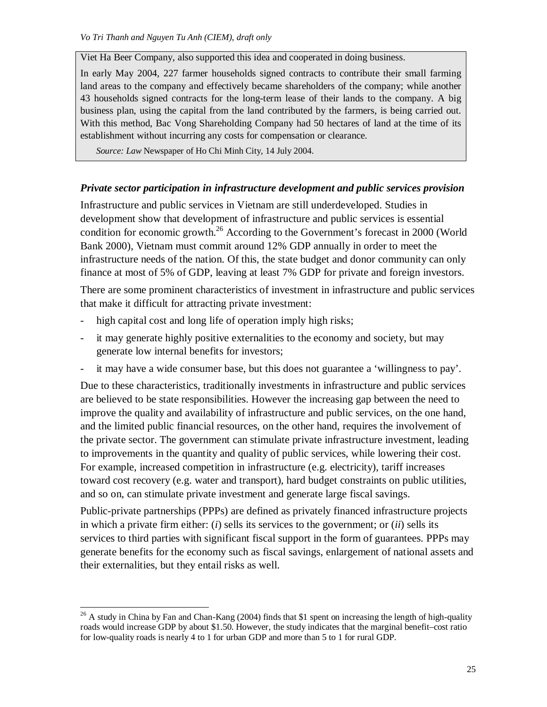Viet Ha Beer Company, also supported this idea and cooperated in doing business.

In early May 2004, 227 farmer households signed contracts to contribute their small farming land areas to the company and effectively became shareholders of the company; while another 43 households signed contracts for the long-term lease of their lands to the company. A big business plan, using the capital from the land contributed by the farmers, is being carried out. With this method, Bac Vong Shareholding Company had 50 hectares of land at the time of its establishment without incurring any costs for compensation or clearance.

 *Source: Law* Newspaper of Ho Chi Minh City, 14 July 2004.

# *Private sector participation in infrastructure development and public services provision*

Infrastructure and public services in Vietnam are still underdeveloped. Studies in development show that development of infrastructure and public services is essential condition for economic growth.<sup>26</sup> According to the Government's forecast in 2000 (World Bank 2000), Vietnam must commit around 12% GDP annually in order to meet the infrastructure needs of the nation. Of this, the state budget and donor community can only finance at most of 5% of GDP, leaving at least 7% GDP for private and foreign investors.

There are some prominent characteristics of investment in infrastructure and public services that make it difficult for attracting private investment:

- high capital cost and long life of operation imply high risks;

-

- it may generate highly positive externalities to the economy and society, but may generate low internal benefits for investors;
- it may have a wide consumer base, but this does not guarantee a 'willingness to pay'.

Due to these characteristics, traditionally investments in infrastructure and public services are believed to be state responsibilities. However the increasing gap between the need to improve the quality and availability of infrastructure and public services, on the one hand, and the limited public financial resources, on the other hand, requires the involvement of the private sector. The government can stimulate private infrastructure investment, leading to improvements in the quantity and quality of public services, while lowering their cost. For example, increased competition in infrastructure (e.g. electricity), tariff increases toward cost recovery (e.g. water and transport), hard budget constraints on public utilities, and so on, can stimulate private investment and generate large fiscal savings.

Public-private partnerships (PPPs) are defined as privately financed infrastructure projects in which a private firm either: (*i*) sells its services to the government; or (*ii*) sells its services to third parties with significant fiscal support in the form of guarantees. PPPs may generate benefits for the economy such as fiscal savings, enlargement of national assets and their externalities, but they entail risks as well.

 $^{26}$  A study in China by Fan and Chan-Kang (2004) finds that \$1 spent on increasing the length of high-quality roads would increase GDP by about \$1.50. However, the study indicates that the marginal benefit–cost ratio for low-quality roads is nearly 4 to 1 for urban GDP and more than 5 to 1 for rural GDP.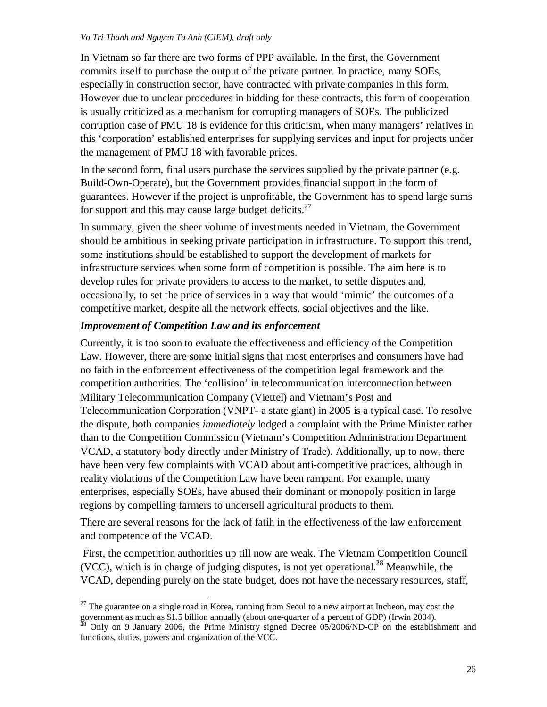In Vietnam so far there are two forms of PPP available. In the first, the Government commits itself to purchase the output of the private partner. In practice, many SOEs, especially in construction sector, have contracted with private companies in this form. However due to unclear procedures in bidding for these contracts, this form of cooperation is usually criticized as a mechanism for corrupting managers of SOEs. The publicized corruption case of PMU 18 is evidence for this criticism, when many managers' relatives in this 'corporation' established enterprises for supplying services and input for projects under the management of PMU 18 with favorable prices.

In the second form, final users purchase the services supplied by the private partner (e.g. Build-Own-Operate), but the Government provides financial support in the form of guarantees. However if the project is unprofitable, the Government has to spend large sums for support and this may cause large budget deficits. $27$ 

In summary, given the sheer volume of investments needed in Vietnam, the Government should be ambitious in seeking private participation in infrastructure. To support this trend, some institutions should be established to support the development of markets for infrastructure services when some form of competition is possible. The aim here is to develop rules for private providers to access to the market, to settle disputes and, occasionally, to set the price of services in a way that would 'mimic' the outcomes of a competitive market, despite all the network effects, social objectives and the like.

# *Improvement of Competition Law and its enforcement*

 $\overline{\phantom{a}}$ 

Currently, it is too soon to evaluate the effectiveness and efficiency of the Competition Law. However, there are some initial signs that most enterprises and consumers have had no faith in the enforcement effectiveness of the competition legal framework and the competition authorities. The 'collision' in telecommunication interconnection between Military Telecommunication Company (Viettel) and Vietnam's Post and Telecommunication Corporation (VNPT- a state giant) in 2005 is a typical case. To resolve the dispute, both companies *immediately* lodged a complaint with the Prime Minister rather than to the Competition Commission (Vietnam's Competition Administration Department VCAD, a statutory body directly under Ministry of Trade). Additionally, up to now, there have been very few complaints with VCAD about anti-competitive practices, although in reality violations of the Competition Law have been rampant. For example, many enterprises, especially SOEs, have abused their dominant or monopoly position in large regions by compelling farmers to undersell agricultural products to them.

There are several reasons for the lack of fatih in the effectiveness of the law enforcement and competence of the VCAD.

First*,* the competition authorities up till now are weak. The Vietnam Competition Council (VCC), which is in charge of judging disputes, is not yet operational.<sup>28</sup> Meanwhile, the VCAD, depending purely on the state budget, does not have the necessary resources, staff,

 $27$  The guarantee on a single road in Korea, running from Seoul to a new airport at Incheon, may cost the government as much as \$1.5 billion annually (about one-quarter of a percent of GDP) (Irwin 2004).

 $^{28}$  Only on 9 January 2006, the Prime Ministry signed Decree 05/2006/ND-CP on the establishment and functions, duties, powers and organization of the VCC.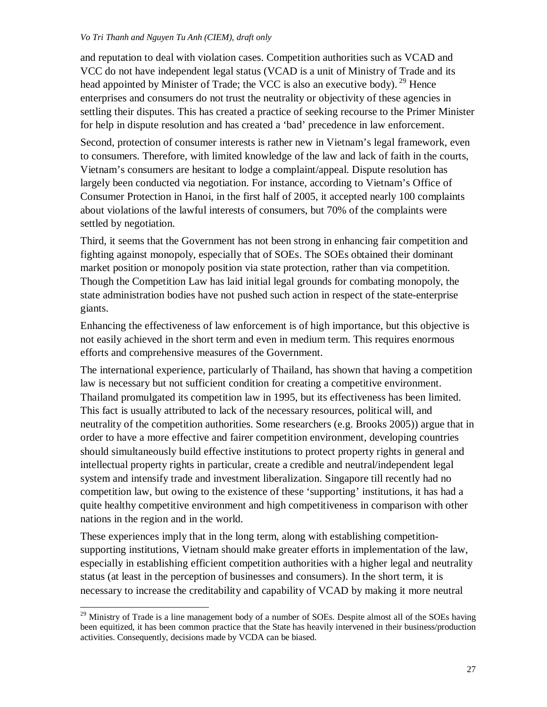and reputation to deal with violation cases. Competition authorities such as VCAD and VCC do not have independent legal status (VCAD is a unit of Ministry of Trade and its head appointed by Minister of Trade; the VCC is also an executive body). <sup>29</sup> Hence enterprises and consumers do not trust the neutrality or objectivity of these agencies in settling their disputes. This has created a practice of seeking recourse to the Primer Minister for help in dispute resolution and has created a 'bad' precedence in law enforcement.

Second, protection of consumer interests is rather new in Vietnam's legal framework, even to consumers. Therefore, with limited knowledge of the law and lack of faith in the courts, Vietnam's consumers are hesitant to lodge a complaint/appeal. Dispute resolution has largely been conducted via negotiation. For instance, according to Vietnam's Office of Consumer Protection in Hanoi, in the first half of 2005, it accepted nearly 100 complaints about violations of the lawful interests of consumers, but 70% of the complaints were settled by negotiation.

Third*,* it seems that the Government has not been strong in enhancing fair competition and fighting against monopoly, especially that of SOEs. The SOEs obtained their dominant market position or monopoly position via state protection, rather than via competition. Though the Competition Law has laid initial legal grounds for combating monopoly, the state administration bodies have not pushed such action in respect of the state-enterprise giants.

Enhancing the effectiveness of law enforcement is of high importance, but this objective is not easily achieved in the short term and even in medium term. This requires enormous efforts and comprehensive measures of the Government.

The international experience, particularly of Thailand, has shown that having a competition law is necessary but not sufficient condition for creating a competitive environment. Thailand promulgated its competition law in 1995, but its effectiveness has been limited. This fact is usually attributed to lack of the necessary resources, political will, and neutrality of the competition authorities. Some researchers (e.g. Brooks 2005)) argue that in order to have a more effective and fairer competition environment, developing countries should simultaneously build effective institutions to protect property rights in general and intellectual property rights in particular, create a credible and neutral/independent legal system and intensify trade and investment liberalization. Singapore till recently had no competition law, but owing to the existence of these 'supporting' institutions, it has had a quite healthy competitive environment and high competitiveness in comparison with other nations in the region and in the world.

These experiences imply that in the long term, along with establishing competitionsupporting institutions, Vietnam should make greater efforts in implementation of the law, especially in establishing efficient competition authorities with a higher legal and neutrality status (at least in the perception of businesses and consumers). In the short term, it is necessary to increase the creditability and capability of VCAD by making it more neutral

-

 $^{29}$  Ministry of Trade is a line management body of a number of SOEs. Despite almost all of the SOEs having been equitized, it has been common practice that the State has heavily intervened in their business/production activities. Consequently, decisions made by VCDA can be biased.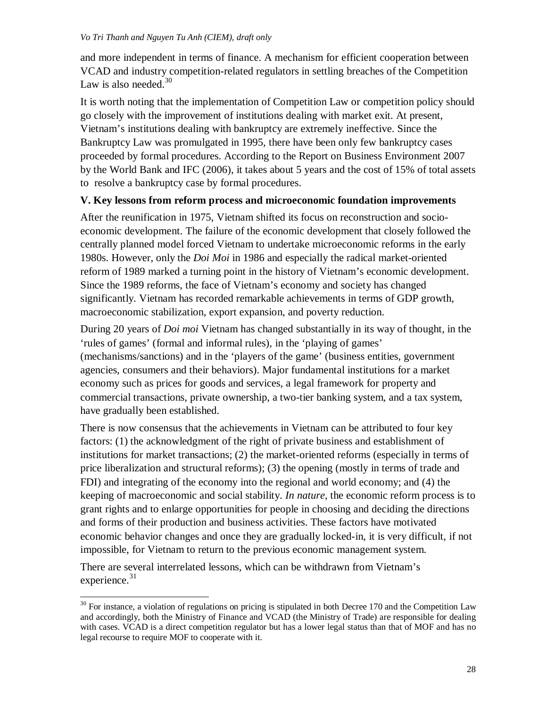and more independent in terms of finance. A mechanism for efficient cooperation between VCAD and industry competition-related regulators in settling breaches of the Competition Law is also needed. $30$ 

It is worth noting that the implementation of Competition Law or competition policy should go closely with the improvement of institutions dealing with market exit. At present, Vietnam's institutions dealing with bankruptcy are extremely ineffective. Since the Bankruptcy Law was promulgated in 1995, there have been only few bankruptcy cases proceeded by formal procedures. According to the Report on Business Environment 2007 by the World Bank and IFC (2006), it takes about 5 years and the cost of 15% of total assets to resolve a bankruptcy case by formal procedures.

# **V. Key lessons from reform process and microeconomic foundation improvements**

After the reunification in 1975, Vietnam shifted its focus on reconstruction and socioeconomic development. The failure of the economic development that closely followed the centrally planned model forced Vietnam to undertake microeconomic reforms in the early 1980s. However, only the *Doi Moi* in 1986 and especially the radical market-oriented reform of 1989 marked a turning point in the history of Vietnam's economic development. Since the 1989 reforms, the face of Vietnam's economy and society has changed significantly. Vietnam has recorded remarkable achievements in terms of GDP growth, macroeconomic stabilization, export expansion, and poverty reduction.

During 20 years of *Doi moi* Vietnam has changed substantially in its way of thought, in the 'rules of games' (formal and informal rules), in the 'playing of games' (mechanisms/sanctions) and in the 'players of the game' (business entities, government agencies, consumers and their behaviors). Major fundamental institutions for a market economy such as prices for goods and services, a legal framework for property and commercial transactions, private ownership, a two-tier banking system, and a tax system, have gradually been established.

There is now consensus that the achievements in Vietnam can be attributed to four key factors: (1) the acknowledgment of the right of private business and establishment of institutions for market transactions; (2) the market-oriented reforms (especially in terms of price liberalization and structural reforms); (3) the opening (mostly in terms of trade and FDI) and integrating of the economy into the regional and world economy; and (4) the keeping of macroeconomic and social stability. *In nature*, the economic reform process is to grant rights and to enlarge opportunities for people in choosing and deciding the directions and forms of their production and business activities. These factors have motivated economic behavior changes and once they are gradually locked-in, it is very difficult, if not impossible, for Vietnam to return to the previous economic management system.

There are several interrelated lessons, which can be withdrawn from Vietnam's experience.<sup>31</sup>

 $\overline{\phantom{a}}$ 

 $30$  For instance, a violation of regulations on pricing is stipulated in both Decree 170 and the Competition Law and accordingly, both the Ministry of Finance and VCAD (the Ministry of Trade) are responsible for dealing with cases. VCAD is a direct competition regulator but has a lower legal status than that of MOF and has no legal recourse to require MOF to cooperate with it.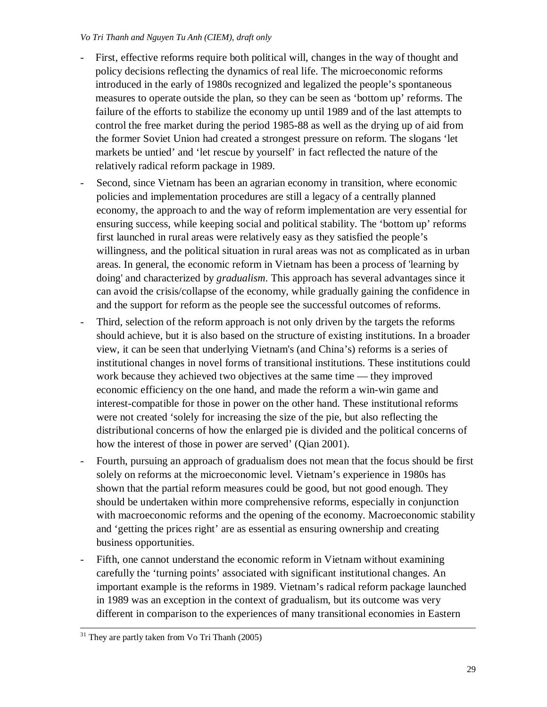- First, effective reforms require both political will, changes in the way of thought and policy decisions reflecting the dynamics of real life. The microeconomic reforms introduced in the early of 1980s recognized and legalized the people's spontaneous measures to operate outside the plan, so they can be seen as 'bottom up' reforms. The failure of the efforts to stabilize the economy up until 1989 and of the last attempts to control the free market during the period 1985-88 as well as the drying up of aid from the former Soviet Union had created a strongest pressure on reform. The slogans 'let markets be untied' and 'let rescue by yourself' in fact reflected the nature of the relatively radical reform package in 1989.
- Second, since Vietnam has been an agrarian economy in transition, where economic policies and implementation procedures are still a legacy of a centrally planned economy, the approach to and the way of reform implementation are very essential for ensuring success, while keeping social and political stability. The 'bottom up' reforms first launched in rural areas were relatively easy as they satisfied the people's willingness, and the political situation in rural areas was not as complicated as in urban areas. In general, the economic reform in Vietnam has been a process of 'learning by doing' and characterized by *gradualism*. This approach has several advantages since it can avoid the crisis/collapse of the economy, while gradually gaining the confidence in and the support for reform as the people see the successful outcomes of reforms.
- Third, selection of the reform approach is not only driven by the targets the reforms should achieve, but it is also based on the structure of existing institutions. In a broader view, it can be seen that underlying Vietnam's (and China's) reforms is a series of institutional changes in novel forms of transitional institutions. These institutions could work because they achieved two objectives at the same time — they improved economic efficiency on the one hand, and made the reform a win-win game and interest-compatible for those in power on the other hand. These institutional reforms were not created 'solely for increasing the size of the pie, but also reflecting the distributional concerns of how the enlarged pie is divided and the political concerns of how the interest of those in power are served' (Qian 2001).
- Fourth, pursuing an approach of gradualism does not mean that the focus should be first solely on reforms at the microeconomic level. Vietnam's experience in 1980s has shown that the partial reform measures could be good, but not good enough. They should be undertaken within more comprehensive reforms, especially in conjunction with macroeconomic reforms and the opening of the economy. Macroeconomic stability and 'getting the prices right' are as essential as ensuring ownership and creating business opportunities.
- Fifth, one cannot understand the economic reform in Vietnam without examining carefully the 'turning points' associated with significant institutional changes. An important example is the reforms in 1989. Vietnam's radical reform package launched in 1989 was an exception in the context of gradualism, but its outcome was very different in comparison to the experiences of many transitional economies in Eastern

<sup>-</sup> $31$  They are partly taken from Vo Tri Thanh (2005)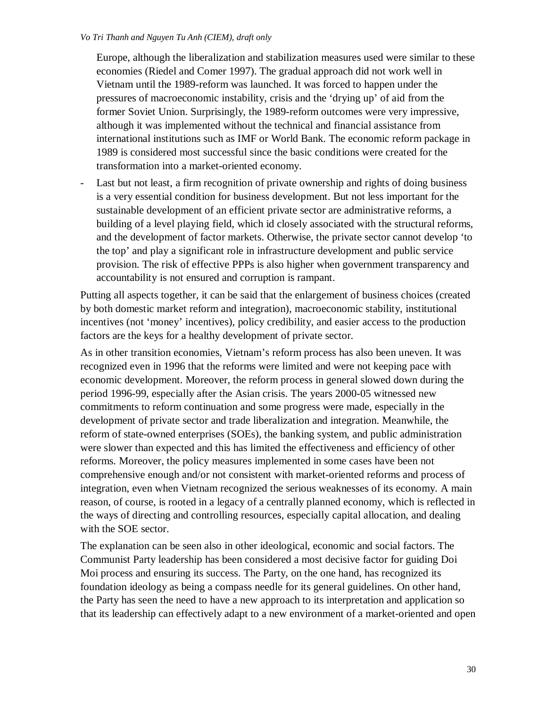Europe, although the liberalization and stabilization measures used were similar to these economies (Riedel and Comer 1997). The gradual approach did not work well in Vietnam until the 1989-reform was launched. It was forced to happen under the pressures of macroeconomic instability, crisis and the 'drying up' of aid from the former Soviet Union. Surprisingly, the 1989-reform outcomes were very impressive, although it was implemented without the technical and financial assistance from international institutions such as IMF or World Bank. The economic reform package in 1989 is considered most successful since the basic conditions were created for the transformation into a market-oriented economy.

- Last but not least, a firm recognition of private ownership and rights of doing business is a very essential condition for business development. But not less important for the sustainable development of an efficient private sector are administrative reforms, a building of a level playing field, which id closely associated with the structural reforms, and the development of factor markets. Otherwise, the private sector cannot develop 'to the top' and play a significant role in infrastructure development and public service provision. The risk of effective PPPs is also higher when government transparency and accountability is not ensured and corruption is rampant.

Putting all aspects together, it can be said that the enlargement of business choices (created by both domestic market reform and integration), macroeconomic stability, institutional incentives (not 'money' incentives), policy credibility, and easier access to the production factors are the keys for a healthy development of private sector.

As in other transition economies, Vietnam's reform process has also been uneven. It was recognized even in 1996 that the reforms were limited and were not keeping pace with economic development. Moreover, the reform process in general slowed down during the period 1996-99, especially after the Asian crisis. The years 2000-05 witnessed new commitments to reform continuation and some progress were made, especially in the development of private sector and trade liberalization and integration. Meanwhile, the reform of state-owned enterprises (SOEs), the banking system, and public administration were slower than expected and this has limited the effectiveness and efficiency of other reforms. Moreover, the policy measures implemented in some cases have been not comprehensive enough and/or not consistent with market-oriented reforms and process of integration, even when Vietnam recognized the serious weaknesses of its economy. A main reason, of course, is rooted in a legacy of a centrally planned economy, which is reflected in the ways of directing and controlling resources, especially capital allocation, and dealing with the SOE sector.

The explanation can be seen also in other ideological, economic and social factors. The Communist Party leadership has been considered a most decisive factor for guiding Doi Moi process and ensuring its success. The Party, on the one hand, has recognized its foundation ideology as being a compass needle for its general guidelines. On other hand, the Party has seen the need to have a new approach to its interpretation and application so that its leadership can effectively adapt to a new environment of a market-oriented and open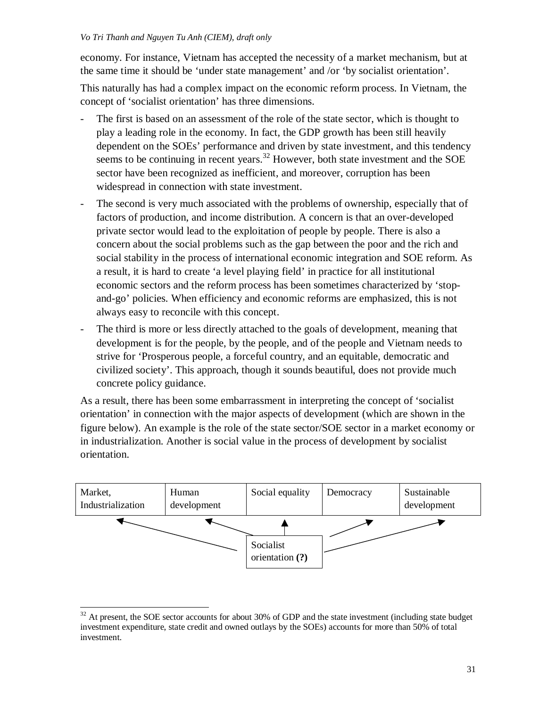economy. For instance, Vietnam has accepted the necessity of a market mechanism, but at the same time it should be 'under state management' and /or 'by socialist orientation'.

This naturally has had a complex impact on the economic reform process. In Vietnam, the concept of 'socialist orientation' has three dimensions.

- The first is based on an assessment of the role of the state sector, which is thought to play a leading role in the economy. In fact, the GDP growth has been still heavily dependent on the SOEs' performance and driven by state investment, and this tendency seems to be continuing in recent years.<sup>32</sup> However, both state investment and the SOE sector have been recognized as inefficient, and moreover, corruption has been widespread in connection with state investment.
- The second is very much associated with the problems of ownership, especially that of factors of production, and income distribution. A concern is that an over-developed private sector would lead to the exploitation of people by people. There is also a concern about the social problems such as the gap between the poor and the rich and social stability in the process of international economic integration and SOE reform. As a result, it is hard to create 'a level playing field' in practice for all institutional economic sectors and the reform process has been sometimes characterized by 'stopand-go' policies. When efficiency and economic reforms are emphasized, this is not always easy to reconcile with this concept.
- The third is more or less directly attached to the goals of development, meaning that development is for the people, by the people, and of the people and Vietnam needs to strive for 'Prosperous people, a forceful country, and an equitable, democratic and civilized society'. This approach, though it sounds beautiful, does not provide much concrete policy guidance.

As a result, there has been some embarrassment in interpreting the concept of 'socialist orientation' in connection with the major aspects of development (which are shown in the figure below). An example is the role of the state sector/SOE sector in a market economy or in industrialization. Another is social value in the process of development by socialist orientation.



 $\overline{a}$  $32$  At present, the SOE sector accounts for about 30% of GDP and the state investment (including state budget investment expenditure, state credit and owned outlays by the SOEs) accounts for more than 50% of total investment.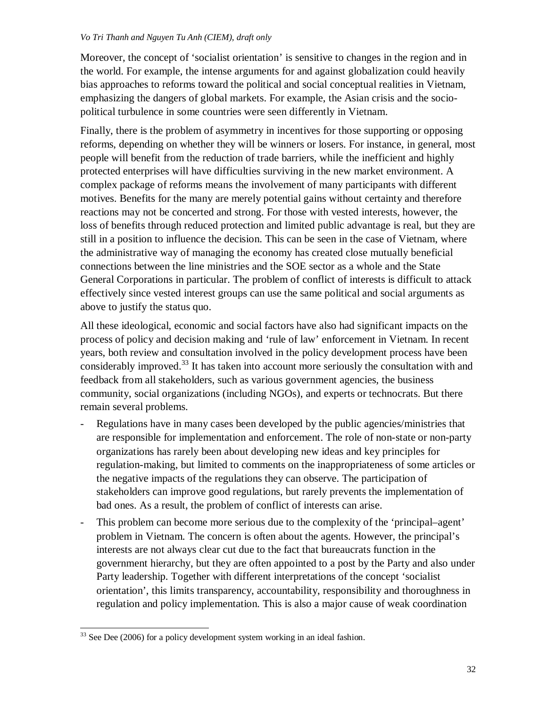Moreover, the concept of 'socialist orientation' is sensitive to changes in the region and in the world. For example, the intense arguments for and against globalization could heavily bias approaches to reforms toward the political and social conceptual realities in Vietnam, emphasizing the dangers of global markets. For example, the Asian crisis and the sociopolitical turbulence in some countries were seen differently in Vietnam.

Finally, there is the problem of asymmetry in incentives for those supporting or opposing reforms, depending on whether they will be winners or losers. For instance, in general, most people will benefit from the reduction of trade barriers, while the inefficient and highly protected enterprises will have difficulties surviving in the new market environment. A complex package of reforms means the involvement of many participants with different motives. Benefits for the many are merely potential gains without certainty and therefore reactions may not be concerted and strong. For those with vested interests, however, the loss of benefits through reduced protection and limited public advantage is real, but they are still in a position to influence the decision. This can be seen in the case of Vietnam, where the administrative way of managing the economy has created close mutually beneficial connections between the line ministries and the SOE sector as a whole and the State General Corporations in particular. The problem of conflict of interests is difficult to attack effectively since vested interest groups can use the same political and social arguments as above to justify the status quo.

All these ideological, economic and social factors have also had significant impacts on the process of policy and decision making and 'rule of law' enforcement in Vietnam. In recent years, both review and consultation involved in the policy development process have been considerably improved.<sup>33</sup> It has taken into account more seriously the consultation with and feedback from all stakeholders, such as various government agencies, the business community, social organizations (including NGOs), and experts or technocrats. But there remain several problems.

- Regulations have in many cases been developed by the public agencies/ministries that are responsible for implementation and enforcement. The role of non-state or non-party organizations has rarely been about developing new ideas and key principles for regulation-making, but limited to comments on the inappropriateness of some articles or the negative impacts of the regulations they can observe. The participation of stakeholders can improve good regulations, but rarely prevents the implementation of bad ones. As a result, the problem of conflict of interests can arise.
- This problem can become more serious due to the complexity of the 'principal–agent' problem in Vietnam. The concern is often about the agents. However, the principal's interests are not always clear cut due to the fact that bureaucrats function in the government hierarchy, but they are often appointed to a post by the Party and also under Party leadership. Together with different interpretations of the concept 'socialist orientation', this limits transparency, accountability, responsibility and thoroughness in regulation and policy implementation. This is also a major cause of weak coordination

 $\overline{\phantom{a}}$  $33$  See Dee (2006) for a policy development system working in an ideal fashion.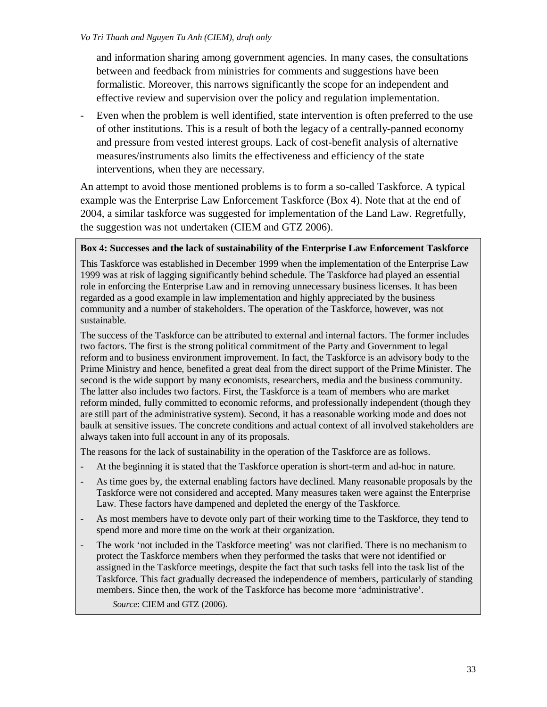and information sharing among government agencies. In many cases, the consultations between and feedback from ministries for comments and suggestions have been formalistic. Moreover, this narrows significantly the scope for an independent and effective review and supervision over the policy and regulation implementation.

Even when the problem is well identified, state intervention is often preferred to the use of other institutions. This is a result of both the legacy of a centrally-panned economy and pressure from vested interest groups. Lack of cost-benefit analysis of alternative measures/instruments also limits the effectiveness and efficiency of the state interventions, when they are necessary.

An attempt to avoid those mentioned problems is to form a so-called Taskforce. A typical example was the Enterprise Law Enforcement Taskforce (Box 4). Note that at the end of 2004, a similar taskforce was suggested for implementation of the Land Law. Regretfully, the suggestion was not undertaken (CIEM and GTZ 2006).

# **Box 4: Successes and the lack of sustainability of the Enterprise Law Enforcement Taskforce**

This Taskforce was established in December 1999 when the implementation of the Enterprise Law 1999 was at risk of lagging significantly behind schedule. The Taskforce had played an essential role in enforcing the Enterprise Law and in removing unnecessary business licenses. It has been regarded as a good example in law implementation and highly appreciated by the business community and a number of stakeholders. The operation of the Taskforce, however, was not sustainable.

The success of the Taskforce can be attributed to external and internal factors. The former includes two factors. The first is the strong political commitment of the Party and Government to legal reform and to business environment improvement. In fact, the Taskforce is an advisory body to the Prime Ministry and hence, benefited a great deal from the direct support of the Prime Minister. The second is the wide support by many economists, researchers, media and the business community. The latter also includes two factors. First, the Taskforce is a team of members who are market reform minded, fully committed to economic reforms, and professionally independent (though they are still part of the administrative system). Second, it has a reasonable working mode and does not baulk at sensitive issues. The concrete conditions and actual context of all involved stakeholders are always taken into full account in any of its proposals.

The reasons for the lack of sustainability in the operation of the Taskforce are as follows.

- At the beginning it is stated that the Taskforce operation is short-term and ad-hoc in nature.
- As time goes by, the external enabling factors have declined. Many reasonable proposals by the Taskforce were not considered and accepted. Many measures taken were against the Enterprise Law. These factors have dampened and depleted the energy of the Taskforce.
- As most members have to devote only part of their working time to the Taskforce, they tend to spend more and more time on the work at their organization.
- The work 'not included in the Taskforce meeting' was not clarified. There is no mechanism to protect the Taskforce members when they performed the tasks that were not identified or assigned in the Taskforce meetings, despite the fact that such tasks fell into the task list of the Taskforce. This fact gradually decreased the independence of members, particularly of standing members. Since then, the work of the Taskforce has become more 'administrative'.

*Source*: CIEM and GTZ (2006).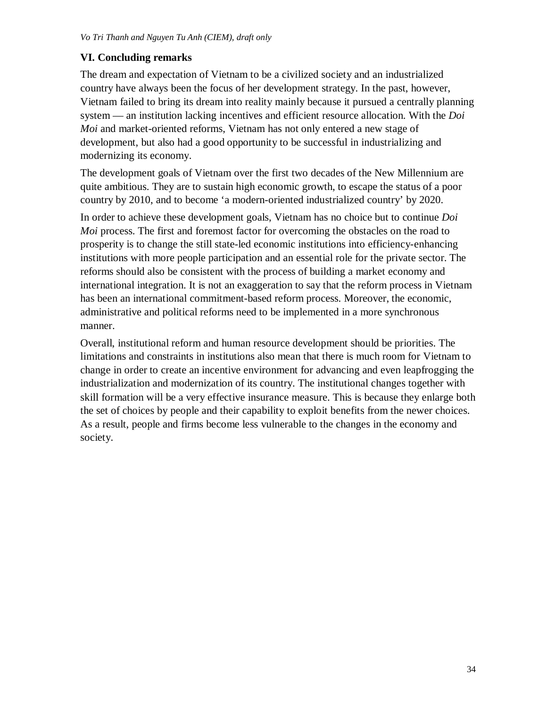# **VI. Concluding remarks**

The dream and expectation of Vietnam to be a civilized society and an industrialized country have always been the focus of her development strategy. In the past, however, Vietnam failed to bring its dream into reality mainly because it pursued a centrally planning system — an institution lacking incentives and efficient resource allocation. With the *Doi Moi* and market-oriented reforms, Vietnam has not only entered a new stage of development, but also had a good opportunity to be successful in industrializing and modernizing its economy.

The development goals of Vietnam over the first two decades of the New Millennium are quite ambitious. They are to sustain high economic growth, to escape the status of a poor country by 2010, and to become 'a modern-oriented industrialized country' by 2020.

In order to achieve these development goals, Vietnam has no choice but to continue *Doi Moi* process. The first and foremost factor for overcoming the obstacles on the road to prosperity is to change the still state-led economic institutions into efficiency-enhancing institutions with more people participation and an essential role for the private sector. The reforms should also be consistent with the process of building a market economy and international integration. It is not an exaggeration to say that the reform process in Vietnam has been an international commitment-based reform process. Moreover, the economic, administrative and political reforms need to be implemented in a more synchronous manner.

Overall, institutional reform and human resource development should be priorities. The limitations and constraints in institutions also mean that there is much room for Vietnam to change in order to create an incentive environment for advancing and even leapfrogging the industrialization and modernization of its country. The institutional changes together with skill formation will be a very effective insurance measure. This is because they enlarge both the set of choices by people and their capability to exploit benefits from the newer choices. As a result, people and firms become less vulnerable to the changes in the economy and society.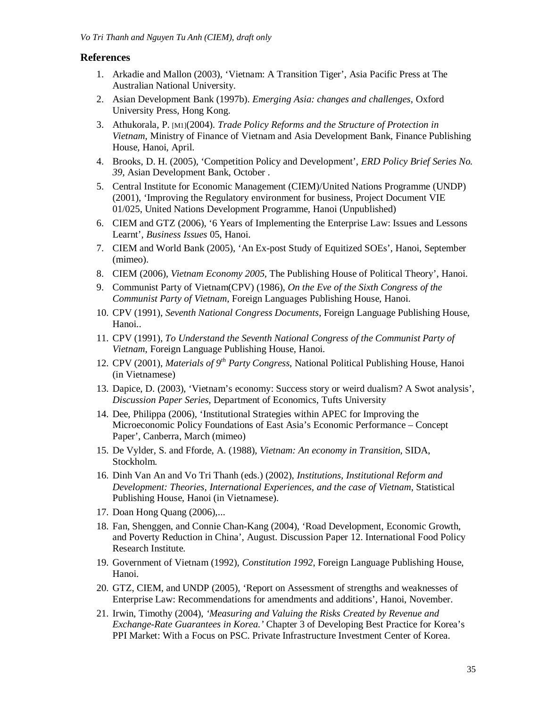#### **References**

- 1. Arkadie and Mallon (2003), 'Vietnam: A Transition Tiger', Asia Pacific Press at The Australian National University.
- 2. Asian Development Bank (1997b). *Emerging Asia: changes and challenges*, Oxford University Press, Hong Kong.
- 3. Athukorala, P. [M1](2004). *Trade Policy Reforms and the Structure of Protection in Vietnam*, Ministry of Finance of Vietnam and Asia Development Bank, Finance Publishing House, Hanoi, April.
- 4. Brooks, D. H. (2005), 'Competition Policy and Development', *ERD Policy Brief Series No. 39,* Asian Development Bank, October .
- 5. Central Institute for Economic Management (CIEM)/United Nations Programme (UNDP) (2001), 'Improving the Regulatory environment for business, Project Document VIE 01/025, United Nations Development Programme, Hanoi (Unpublished)
- 6. CIEM and GTZ (2006), '6 Years of Implementing the Enterprise Law: Issues and Lessons Learnt', *Business Issues* 05, Hanoi.
- 7. CIEM and World Bank (2005), 'An Ex-post Study of Equitized SOEs', Hanoi, September (mimeo).
- 8. CIEM (2006), *Vietnam Economy 2005*, The Publishing House of Political Theory', Hanoi.
- 9. Communist Party of Vietnam(CPV) (1986), *On the Eve of the Sixth Congress of the Communist Party of Vietnam*, Foreign Languages Publishing House, Hanoi.
- 10. CPV (1991), *Seventh National Congress Documents*, Foreign Language Publishing House, Hanoi..
- 11. CPV (1991), *To Understand the Seventh National Congress of the Communist Party of Vietnam*, Foreign Language Publishing House, Hanoi.
- 12. CPV (2001), *Materials of 9th Party Congress*, National Political Publishing House, Hanoi (in Vietnamese)
- 13. Dapice, D. (2003), 'Vietnam's economy: Success story or weird dualism? A Swot analysis', *Discussion Paper Series*, Department of Economics, Tufts University
- 14. Dee, Philippa (2006), 'Institutional Strategies within APEC for Improving the Microeconomic Policy Foundations of East Asia's Economic Performance – Concept Paper', Canberra, March (mimeo)
- 15. De Vylder, S. and Fforde, A. (1988), *Vietnam: An economy in Transition*, SIDA, Stockholm.
- 16. Dinh Van An and Vo Tri Thanh (eds.) (2002), *Institutions, Institutional Reform and Development: Theories, International Experiences, and the case of Vietnam*, Statistical Publishing House, Hanoi (in Vietnamese).
- 17. Doan Hong Quang (2006),...
- 18. Fan, Shenggen, and Connie Chan-Kang (2004), 'Road Development, Economic Growth, and Poverty Reduction in China', August. Discussion Paper 12. International Food Policy Research Institute.
- 19. Government of Vietnam (1992), *Constitution 1992*, Foreign Language Publishing House, Hanoi.
- 20. GTZ, CIEM, and UNDP (2005), 'Report on Assessment of strengths and weaknesses of Enterprise Law: Recommendations for amendments and additions', Hanoi, November.
- 21. Irwin, Timothy (2004), *'Measuring and Valuing the Risks Created by Revenue and Exchange-Rate Guarantees in Korea.'* Chapter 3 of Developing Best Practice for Korea's PPI Market: With a Focus on PSC. Private Infrastructure Investment Center of Korea.